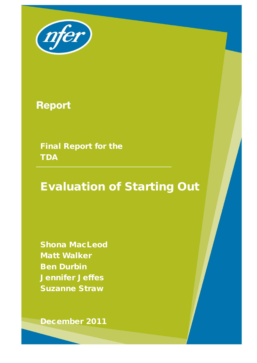

# **Report**

Final Report for the **TDA** 

# Evaluation of Starting Out

1

Shona MacLeod Matt Walker Ben Durbin Jennifer Jeffes Suzanne Straw

December 2011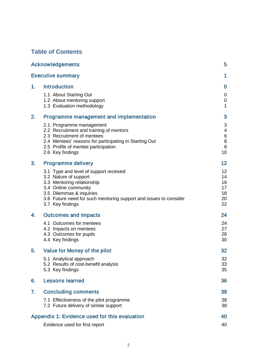## **Table of Contents**

|    | <b>Acknowledgements</b>                                                                                                                                                                                                                    | 5                                      |
|----|--------------------------------------------------------------------------------------------------------------------------------------------------------------------------------------------------------------------------------------------|----------------------------------------|
|    | <b>Executive summary</b>                                                                                                                                                                                                                   | 1                                      |
| 1. | <b>Introduction</b>                                                                                                                                                                                                                        | $\bf{0}$                               |
|    | 1.1 About Starting Out<br>1.2 About mentoring support<br>1.3 Evaluation methodology                                                                                                                                                        | 0<br>0<br>1                            |
| 2. | Programme management and implementation                                                                                                                                                                                                    | 3                                      |
|    | 2.1 Programme management<br>2.2 Recruitment and training of mentors<br>2.3 Recruitment of mentees<br>2.4 Mentees' reasons for participating in Starting Out<br>2.5 Profile of mentee participation<br>2.6 Key findings                     | 3<br>4<br>6<br>8<br>8<br>10            |
| 3. | <b>Programme delivery</b>                                                                                                                                                                                                                  | 12                                     |
|    | 3.1 Type and level of support received<br>3.2 Nature of support<br>3.3 Mentoring relationship<br>3.4 Online community<br>3.5 Dilemmas & inquiries<br>3.6 Future need for such mentoring support and issues to consider<br>3.7 Key findings | 12<br>14<br>16<br>17<br>18<br>20<br>22 |
| 4. | <b>Outcomes and impacts</b>                                                                                                                                                                                                                | 24                                     |
|    | 4.1 Outcomes for mentees<br>4.2 Impacts on mentees<br>4.3 Outcomes for pupils<br>4.4 Key findings                                                                                                                                          | 24<br>27<br>28<br>30                   |
| 5. | Value for Money of the pilot                                                                                                                                                                                                               | 32                                     |
|    | 5.1 Analytical approach<br>5.2 Results of cost-benefit analysis<br>5.3 Key findings                                                                                                                                                        | 32<br>33<br>35                         |
| 6. | <b>Lessons learned</b>                                                                                                                                                                                                                     | 36                                     |
| 7. | <b>Concluding comments</b>                                                                                                                                                                                                                 | 38                                     |
|    | 7.1 Effectiveness of the pilot programme<br>7.2 Future delivery of similar support                                                                                                                                                         | 38<br>38                               |
|    | Appendix 1: Evidence used for this evaluation                                                                                                                                                                                              | 40                                     |
|    | Evidence used for first report                                                                                                                                                                                                             | 40                                     |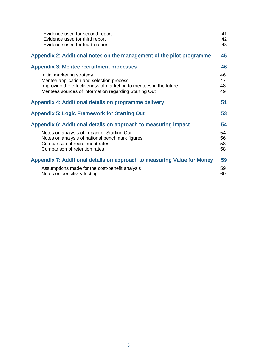| Evidence used for second report<br>Evidence used for third report<br>Evidence used for fourth report                                                                                                 | 41<br>42<br>43       |
|------------------------------------------------------------------------------------------------------------------------------------------------------------------------------------------------------|----------------------|
| Appendix 2: Additional notes on the management of the pilot programme                                                                                                                                | 45                   |
| Appendix 3: Mentee recruitment processes                                                                                                                                                             | 46                   |
| Initial marketing strategy<br>Mentee application and selection process<br>Improving the effectiveness of marketing to mentees in the future<br>Mentees sources of information regarding Starting Out | 46<br>47<br>48<br>49 |
| Appendix 4: Additional details on programme delivery                                                                                                                                                 | 51                   |
| <b>Appendix 5: Logic Framework for Starting Out</b>                                                                                                                                                  | 53                   |
| Appendix 6: Additional details on approach to measuring impact                                                                                                                                       | 54                   |
| Notes on analysis of impact of Starting Out<br>Notes on analysis of national benchmark figures<br>Comparison of recruitment rates<br>Comparison of retention rates                                   | 54<br>56<br>58<br>58 |
| Appendix 7: Additional details on approach to measuring Value for Money                                                                                                                              | 59                   |
| Assumptions made for the cost-benefit analysis<br>Notes on sensitivity testing                                                                                                                       | 59<br>60             |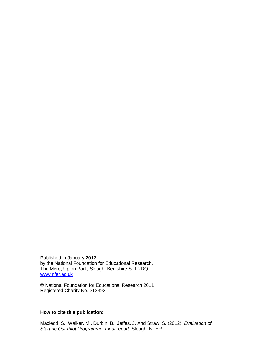Published in January 2012 by the National Foundation for Educational Research, The Mere, Upton Park, Slough, Berkshire SL1 2DQ [www.nfer.ac.uk](http://www.nfer.ac.uk/)

© National Foundation for Educational Research 2011 Registered Charity No. 313392

#### **How to cite this publication:**

Macleod, S., Walker, M., Durbin, B., Jeffes, J. And Straw, S. (2012). *Evaluation of Starting Out Pilot Programme: Final report.* Slough: NFER.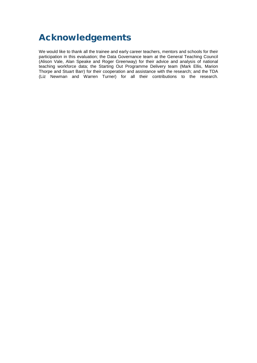## <span id="page-4-0"></span>Acknowledgements

We would like to thank all the trainee and early career teachers, mentors and schools for their participation in this evaluation; the Data Governance team at the General Teaching Council (Alison Vale, Alan Speake and Roger Greenway) for their advice and analysis of national teaching workforce data; the Starting Out Programme Delivery team (Mark Ellis, Marion Thorpe and Stuart Barr) for their cooperation and assistance with the research; and the TDA (Liz Newman and Warren Turner) for all their contributions to the research.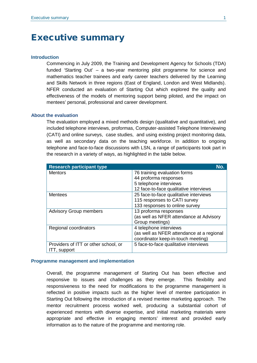## <span id="page-5-0"></span>Executive summary

#### **Introduction**

Commencing in July 2009, the Training and Development Agency for Schools (TDA) funded 'Starting Out' – a two-year mentoring pilot programme for science and mathematics teacher trainees and early career teachers delivered by the Learning and Skills Network in three regions (East of England, London and West Midlands). NFER conducted an evaluation of Starting Out which explored the quality and effectiveness of the models of mentoring support being piloted, and the impact on mentees' personal, professional and career development.

#### **About the evaluation**

The evaluation employed a mixed methods design (qualitative and quantitative), and included telephone interviews, proformas, Computer-assisted Telephone Interviewing (CATI) and online surveys, case studies, and using existing project monitoring data, as well as secondary data on the teaching workforce. In addition to ongoing telephone and face-to-face discussions with LSN, a range of participants took part in the research in a variety of ways, as highlighted in the table below.

| <b>Research participant type</b>     | No.                                       |
|--------------------------------------|-------------------------------------------|
| <b>Mentors</b>                       | 76 training evaluation forms              |
|                                      | 44 proforma responses                     |
|                                      | 5 telephone interviews                    |
|                                      | 12 face-to-face qualitative interviews    |
| <b>Mentees</b>                       | 25 face-to-face qualitative interviews    |
|                                      | 115 responses to CATI survey              |
|                                      | 133 responses to online survey            |
| <b>Advisory Group members</b>        | 13 proforma responses                     |
|                                      | (as well as NFER attendance at Advisory   |
|                                      | Group meetings)                           |
| Regional coordinators                | 4 telephone interviews                    |
|                                      | (as well as NFER attendance at a regional |
|                                      | coordinator keep-in-touch meeting)        |
| Providers of ITT or other school, or | 5 face-to-face qualitative interviews     |
| ITT, support                         |                                           |

#### **Programme management and implementation**

Overall, the programme management of Starting Out has been effective and responsive to issues and challenges as they emerge. This flexibility and responsiveness to the need for modifications to the programme management is reflected in positive impacts such as the higher level of mentee participation in Starting Out following the introduction of a revised mentee marketing approach. The mentor recruitment process worked well, producing a substantial cohort of experienced mentors with diverse expertise, and initial marketing materials were appropriate and effective in engaging mentors' interest and provided early information as to the nature of the programme and mentoring role.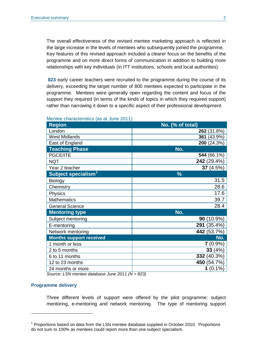The overall effectiveness of the revised mentee marketing approach is reflected in the large increase in the levels of mentees who subsequently joined the programme. Key features of this revised approach included a clearer focus on the benefits of the programme and on more direct forms of communication in addition to building more relationships with key individuals (in ITT institutions, schools and local authorities).

**823** early career teachers were recruited to the programme during the course of its delivery, exceeding the target number of 800 mentees expected to participate in the programme. Mentees were generally open regarding the content and focus of the support they required (in terms of the kinds of topics in which they required support) rather than narrowing it down to a specific aspect of their professional development.

| <b>Region</b>                   | No. (% of total) |  |  |  |
|---------------------------------|------------------|--|--|--|
| London                          | 262 (31.8%)      |  |  |  |
| <b>West Midlands</b>            | 361 (43.9%)      |  |  |  |
| East of England                 | 200 (24.3%)      |  |  |  |
| <b>Teaching Phase</b>           | No.              |  |  |  |
| PGCE/ITE                        | 544 (66.1%)      |  |  |  |
| <b>NQT</b>                      | 242 (29.4%)      |  |  |  |
| Year 2 teacher                  | 37 (4.5%)        |  |  |  |
| Subject specialism <sup>1</sup> | $\frac{0}{0}$    |  |  |  |
| Biology                         | 31.5             |  |  |  |
| Chemistry                       | 28.6             |  |  |  |
| Physics                         | 17.6             |  |  |  |
| <b>Mathematics</b>              | 39.7             |  |  |  |
| <b>General Science</b>          | 28.4             |  |  |  |
| <b>Mentoring type</b>           | No.              |  |  |  |
| Subject mentoring               | $90(10.9\%)$     |  |  |  |
| E-mentoring                     | 291 (35.4%)      |  |  |  |
| Network mentoring               | 442 (53.7%)      |  |  |  |
| <b>Months support received</b>  | No.              |  |  |  |
| 1 month or less                 | 7 (0.9%)         |  |  |  |
| 2 to 5 months                   | 33(4%)           |  |  |  |
| 6 to 11 months                  | 332 (40.3%)      |  |  |  |
| 12 to 23 months                 | 450 (54.7%)      |  |  |  |
| 24 months or more               | $1(0.1\%)$       |  |  |  |

#### Mentee characteristics (as at June 2011)

*Source: LSN mentee database June 2011 (N = 823)*

#### **Programme delivery**

-

Three different levels of support were offered by the pilot programme: subject mentoring, e-mentoring and network mentoring. The type of mentoring support

<span id="page-6-0"></span><sup>1</sup> Proportions based on data from the LSN mentee database supplied in October 2010. Proportions do not sum to 100% as mentees could report more than one subject specialism.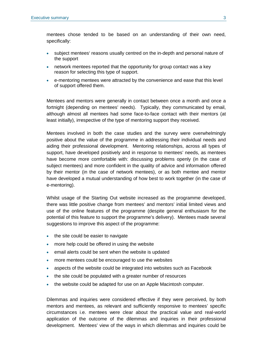mentees chose tended to be based on an understanding of their own need, specifically:

- subject mentees' reasons usually centred on the in-depth and personal nature of the support
- network mentees reported that the opportunity for group contact was a key reason for selecting this type of support.
- e-mentoring mentees were attracted by the convenience and ease that this level of support offered them.

Mentees and mentors were generally in contact between once a month and once a fortnight (depending on mentees' needs). Typically, they communicated by email, although almost all mentees had some face-to-face contact with their mentors (at least initially), irrespective of the type of mentoring support they received.

Mentees involved in both the case studies and the survey were overwhelmingly positive about the value of the programme in addressing their individual needs and aiding their professional development. Mentoring relationships, across all types of support, have developed positively and in response to mentees' needs, as mentees have become more comfortable with: discussing problems openly (in the case of subject mentees) and more confident in the quality of advice and information offered by their mentor (in the case of network mentees), or as both mentee and mentor have developed a mutual understanding of how best to work together (in the case of e-mentoring).

Whilst usage of the Starting Out website increased as the programme developed, there was little positive change from mentees' and mentors' initial limited views and use of the online features of the programme (despite general enthusiasm for the potential of this feature to support the programme's delivery). Mentees made several suggestions to improve this aspect of the programme:

- the site could be easier to navigate
- more help could be offered in using the website
- email alerts could be sent when the website is updated
- more mentees could be encouraged to use the websites
- aspects of the website could be integrated into websites such as Facebook
- the site could be populated with a greater number of resources
- the website could be adapted for use on an Apple Macintosh computer.

Dilemmas and inquiries were considered effective if they were perceived, by both mentors and mentees, as relevant and sufficiently responsive to mentees' specific circumstances i.e. mentees were clear about the practical value and real-world application of the outcome of the dilemmas and inquiries in their professional development. Mentees' view of the ways in which dilemmas and inquiries could be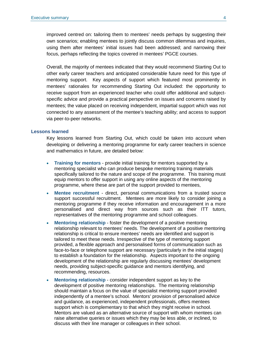improved centred on: tailoring them to mentees' needs perhaps by suggesting their own scenarios; enabling mentees to jointly discuss common dilemmas and inquiries, using them after mentees' initial issues had been addressed; and narrowing their focus, perhaps reflecting the topics covered in mentees' PGCE courses.

Overall, the majority of mentees indicated that they would recommend Starting Out to other early career teachers and anticipated considerable future need for this type of mentoring support. Key aspects of support which featured most prominently in mentees' rationales for recommending Starting Out included: the opportunity to receive support from an experienced teacher who could offer additional and subjectspecific advice and provide a practical perspective on issues and concerns raised by mentees; the value placed on receiving independent, impartial support which was not connected to any assessment of the mentee's teaching ability; and access to support via peer-to-peer networks.

#### **Lessons learned**

Key lessons learned from Starting Out, which could be taken into account when developing or delivering a mentoring programme for early career teachers in science and mathematics in future, are detailed below:

- **Training for mentors**  provide initial training for mentors supported by a mentoring specialist who can produce bespoke mentoring training materials specifically tailored to the nature and scope of the programme. This training must equip mentors to offer support in using any online aspects of the mentoring programme, where these are part of the support provided to mentees,
- **Mentee recruitment**  direct, personal communications from a trusted source support successful recruitment. Mentees are more likely to consider joining a mentoring programme if they receive information and encouragement in a more personalised and direct way from sources such as their ITT tutors, representatives of the mentoring programme and school colleagues.
- **Mentoring relationship foster the development of a positive mentoring** relationship relevant to mentees' needs. The development of a positive mentoring relationship is critical to ensure mentees' needs are identified and support is tailored to meet these needs. Irrespective of the type of mentoring support provided, a flexible approach and personalised forms of communication such as face-to-face or telephone support are necessary (particularly in the initial stages) to establish a foundation for the relationship. Aspects important to the ongoing development of the relationship are regularly discussing mentees' development needs, providing subject-specific guidance and mentors identifying, and recommending, resources.
- **Mentoring relationship**  consider independent support as key to the development of positive mentoring relationships. The mentoring relationship should maintain a focus on the value of specialist mentoring support provided independently of a mentee's school. Mentors' provision of personalised advice and guidance, as experienced, independent professionals, offers mentees support which is complementary to that which they might receive in school. Mentors are valued as an alternative source of support with whom mentees can raise alternative queries or issues which they may be less able, or inclined, to discuss with their line manager or colleagues in their school.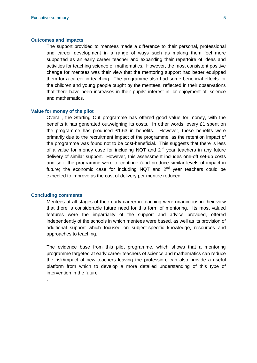#### **Outcomes and impacts**

The support provided to mentees made a difference to their personal, professional and career development in a range of ways such as making them feel more supported as an early career teacher and expanding their repertoire of ideas and activities for teaching science or mathematics. However, the most consistent positive change for mentees was their view that the mentoring support had better equipped them for a career in teaching. The programme also had some beneficial effects for the children and young people taught by the mentees, reflected in their observations that there have been increases in their pupils' interest in, or enjoyment of, science and mathematics.

#### **Value for money of the pilot**

Overall, the Starting Out programme has offered good value for money, with the benefits it has generated outweighing its costs. In other words, every £1 spent on the programme has produced £1.63 in benefits. However, these benefits were primarily due to the recruitment impact of the programme, as the retention impact of the programme was found not to be cost-beneficial. This suggests that there is less of a value for money case for including NQT and  $2^{nd}$  year teachers in any future delivery of similar support. However, this assessment includes one-off set-up costs and so if the programme were to continue (and produce similar levels of impact in future) the economic case for including NQT and  $2<sup>nd</sup>$  year teachers could be expected to improve as the cost of delivery per mentee reduced.

#### **Concluding comments**

.

Mentees at all stages of their early career in teaching were unanimous in their view that there is considerable future need for this form of mentoring. Its most valued features were the impartiality of the support and advice provided, offered independently of the schools in which mentees were based, as well as its provision of additional support which focused on subject-specific knowledge, resources and approaches to teaching.

The evidence base from this pilot programme, which shows that a mentoring programme targeted at early career teachers of science and mathematics can reduce the risk/impact of new teachers leaving the profession, can also provide a useful platform from which to develop a more detailed understanding of this type of intervention in the future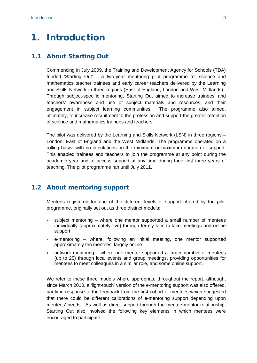## <span id="page-10-0"></span>1. Introduction

## <span id="page-10-1"></span>1.1 About Starting Out

Commencing in July 2009, the Training and Development Agency for Schools (TDA) funded 'Starting Out' – a two-year mentoring pilot programme for science and mathematics teacher trainees and early career teachers delivered by the Learning and Skills Network in three regions (East of England, London and West Midlands).. Through subject-specific mentoring, Starting Out aimed to increase trainees' and teachers' awareness and use of subject materials and resources, and their engagement in subject learning communities. The programme also aimed, ultimately, to increase recruitment to the profession and support the greater retention of science and mathematics trainees and teachers.

The pilot was delivered by the Learning and Skills Network (LSN) in three regions – London, East of England and the West Midlands. The programme operated on a rolling basis, with no stipulations on the minimum or maximum duration of support. This enabled trainees and teachers to join the programme at any point during the academic year and to access support at any time during their first three years of teaching. The pilot programme ran until July 2011.

## <span id="page-10-2"></span>1.2 About mentoring support

Mentees registered for one of the different levels of support offered by the pilot programme, originally set out as three distinct models:

- subject mentoring where one mentor supported a small number of mentees individually (approximately five) through termly face-to-face meetings and online support
- e-mentoring where, following an initial meeting, one mentor supported approximately ten mentees, largely online
- network mentoring where one mentor supported a larger number of mentees (up to 25) through local events and group meetings, providing opportunities for mentees to meet colleagues in a similar role, and some online support.

We refer to these three models where appropriate throughout the report, although, since March 2010, a 'light-touch' version of the e-mentoring support was also offered, partly in response to the feedback from the first cohort of mentees which suggested that there could be different calibrations of e-mentoring support depending upon mentees' needs. As well as direct support through the mentee-mentor relationship, Starting Out also involved the following key elements in which mentees were encouraged to participate: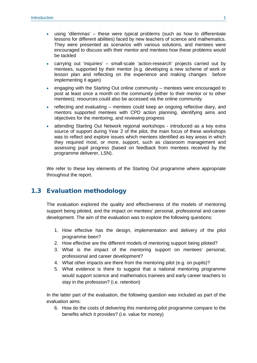- using 'dilemmas' these were typical problems (such as how to differentiate lessons for different abilities) faced by new teachers of science and mathematics. They were presented as scenarios with various solutions, and mentees were encouraged to discuss with their mentor and mentees how these problems would be tackled
- carrying out 'inquiries' small-scale 'action-research' projects carried out by mentees, supported by their mentor (e.g. developing a new scheme of work or lesson plan and reflecting on the experience and making changes before implementing it again)
- engaging with the Starting Out online community mentees were encouraged to post at least once a month on the community (either to their mentor or to other mentees); resources could also be accessed via the online community
- reflecting and evaluating mentees could keep an ongoing reflective diary, and mentors supported mentees with CPD action planning, identifying aims and objectives for the mentoring, and reviewing progress
- attending Starting Out Network regional workshops introduced as a key extra source of support during Year 2 of the pilot, the main focus of these workshops was to reflect and explore issues which mentees identified as key areas in which they required most, or more, support, such as classroom management and assessing pupil progress (based on feedback from mentees received by the programme deliverer, LSN).

We refer to these key elements of the Starting Out programme where appropriate throughout the report.

## <span id="page-11-0"></span>1.3 Evaluation methodology

The evaluation explored the quality and effectiveness of the models of mentoring support being piloted, and the impact on mentees' personal, professional and career development. The aim of the evaluation was to explore the following questions:

- 1. How effective has the design, implementation and delivery of the pilot programme been?
- 2. How effective are the different models of mentoring support being piloted?
- 3. What is the impact of the mentoring support on mentees' personal, professional and career development?
- 4. What other impacts are there from the mentoring pilot (e.g. on pupils)?
- 5. What evidence is there to suggest that a national mentoring programme would support science and mathematics trainees and early career teachers to stay in the profession? (i.e. retention)

In the latter part of the evaluation, the following question was included as part of the evaluation aims:

6. How do the costs of delivering this mentoring pilot programme compare to the benefits which it provides? (i.e. value for money)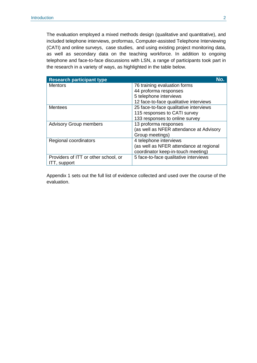The evaluation employed a mixed methods design (qualitative and quantitative), and included telephone interviews, proformas, Computer-assisted Telephone Interviewing (CATI) and online surveys, case studies, and using existing project monitoring data, as well as secondary data on the teaching workforce. In addition to ongoing telephone and face-to-face discussions with LSN, a range of participants took part in the research in a variety of ways, as highlighted in the table below.

| <b>Research participant type</b>     | No.                                     |
|--------------------------------------|-----------------------------------------|
| <b>Mentors</b>                       | 76 training evaluation forms            |
|                                      | 44 proforma responses                   |
|                                      | 5 telephone interviews                  |
|                                      | 12 face-to-face qualitative interviews  |
| <b>Mentees</b>                       | 25 face-to-face qualitative interviews  |
|                                      | 115 responses to CATI survey            |
|                                      | 133 responses to online survey          |
| <b>Advisory Group members</b>        | 13 proforma responses                   |
|                                      | (as well as NFER attendance at Advisory |
|                                      | Group meetings)                         |
| Regional coordinators                | 4 telephone interviews                  |
|                                      | (as well as NFER attendance at regional |
|                                      | coordinator keep-in-touch meeting)      |
| Providers of ITT or other school, or | 5 face-to-face qualitative interviews   |
| ITT, support                         |                                         |

Appendix 1 sets out the full list of evidence collected and used over the course of the evaluation.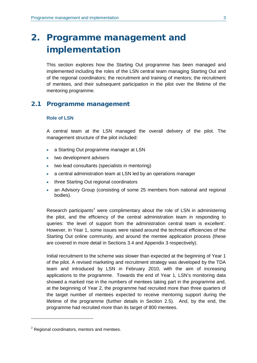## <span id="page-13-0"></span>2. Programme management and implementation

This section explores how the Starting Out programme has been managed and implemented including the roles of the LSN central team managing Starting Out and of the regional coordinators; the recruitment and training of mentors; the recruitment of mentees, and their subsequent participation in the pilot over the lifetime of the mentoring programme.

### <span id="page-13-1"></span>2.1 Programme management

#### **Role of LSN**

A central team at the LSN managed the overall delivery of the pilot. The management structure of the pilot included:

- a Starting Out programme manager at LSN
- two development advisers
- two lead consultants (specialists in mentoring)
- a central administration team at LSN led by an operations manager
- three Starting Out regional coordinators
- an Advisory Group (consisting of some 25 members from national and regional bodies).

Research participants<sup>[2](#page-13-2)</sup> were complimentary about the role of LSN in administering the pilot, and the efficiency of the central administration team in responding to queries: 'the level of support from the administration central team is excellent'. However, in Year 1, some issues were raised around the technical efficiencies of the Starting Out online community, and around the mentee application process (these are covered in more detail in Sections 3.4 and Appendix 3 respectively).

Initial recruitment to the scheme was slower than expected at the beginning of Year 1 of the pilot. A revised marketing and recruitment strategy was developed by the TDA team and introduced by LSN in February 2010, with the aim of increasing applications to the programme. Towards the end of Year 1, LSN's monitoring data showed a marked rise in the numbers of mentees taking part in the programme and, at the beginning of Year 2, the programme had recruited more than three quarters of the target number of mentees expected to receive mentoring support during the lifetime of the programme (further details in Section 2.5). And, by the end, the programme had recruited more than its target of 800 mentees.

<u>.</u>

<span id="page-13-2"></span> $2$  Regional coordinators, mentors and mentees.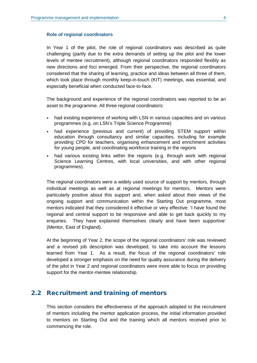#### **Role of regional coordinators**

In Year 1 of the pilot, the role of regional coordinators was described as quite challenging (partly due to the extra demands of setting up the pilot and the lower levels of mentee recruitment), although regional coordinators responded flexibly as new directions and foci emerged. From their perspective, the regional coordinators considered that the sharing of learning, practice and ideas between all three of them, which took place through monthly keep-in-touch (KIT) meetings, was essential, and especially beneficial when conducted face-to-face.

The background and experience of the regional coordinators was reported to be an asset to the programme. All three regional coordinators:

- had existing experience of working with LSN in various capacities and on various programmes (e.g. on LSN's Triple Science Programme)
- had experience (previous and current) of providing STEM support within education through consultancy and similar capacities, including for example providing CPD for teachers, organising enhancement and enrichment activities for young people, and coordinating workforce training in the regions
- had various existing links within the regions (e.g. through work with regional Science Learning Centres, with local universities, and with other regional programmes).

The regional coordinators were a widely used source of support by mentors, through individual meetings as well as at regional meetings for mentors. Mentors were particularly positive about this support and, when asked about their views of the ongoing support and communication within the Starting Out programme, most mentors indicated that they considered it effective or very effective: 'I have found the regional and central support to be responsive and able to get back quickly to my enquiries. They have explained themselves clearly and have been supportive' (Mentor, East of England).

At the beginning of Year 2, the scope of the regional coordinators' role was reviewed and a revised job description was developed, to take into account the lessons learned from Year 1. As a result, the focus of the regional coordinators' role developed a stronger emphasis on the need for quality assurance during the delivery of the pilot in Year 2 and regional coordinators were more able to focus on providing support for the mentor-mentee relationship.

### <span id="page-14-0"></span>2.2 Recruitment and training of mentors

This section considers the effectiveness of the approach adopted to the recruitment of mentors including the mentor application process, the initial information provided to mentors on Starting Out and the training which all mentors received prior to commencing the role.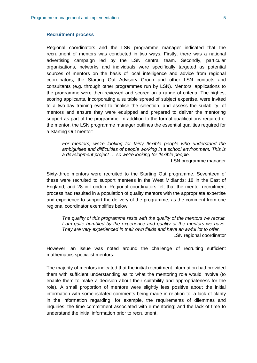#### **Recruitment process**

Regional coordinators and the LSN programme manager indicated that the recruitment of mentors was conducted in two ways. Firstly, there was a national advertising campaign led by the LSN central team. Secondly, particular organisations, networks and individuals were specifically targeted as potential sources of mentors on the basis of local intelligence and advice from regional coordinators, the Starting Out Advisory Group and other LSN contacts and consultants (e.g. through other programmes run by LSN). Mentors' applications to the programme were then reviewed and scored on a range of criteria. The highest scoring applicants, incorporating a suitable spread of subject expertise, were invited to a two-day training event to finalise the selection, and assess the suitability, of mentors and ensure they were equipped and prepared to deliver the mentoring support as part of the programme. In addition to the formal qualifications required of the mentor, the LSN programme manager outlines the essential qualities required for a Starting Out mentor:

*For mentors, we're looking for fairly flexible people who understand the ambiguities and difficulties of people working in a school environment. This is a development project … so we're looking for flexible people.*

LSN programme manager

Sixty-three mentors were recruited to the Starting Out programme. Seventeen of these were recruited to support mentees in the West Midlands; 18 in the East of England; and 28 in London. Regional coordinators felt that the mentor recruitment process had resulted in a population of quality mentors with the appropriate expertise and experience to support the delivery of the programme, as the comment from one regional coordinator exemplifies below.

*The quality of this programme rests with the quality of the mentors we recruit. I am quite humbled by the experience and quality of the mentors we have. They are very experienced in their own fields and have an awful lot to offer.* 

LSN regional coordinator

However, an issue was noted around the challenge of recruiting sufficient mathematics specialist mentors.

The majority of mentors indicated that the initial recruitment information had provided them with sufficient understanding as to what the mentoring role would involve (to enable them to make a decision about their suitability and appropriateness for the role). A small proportion of mentors were slightly less positive about the initial information with some isolated comments being made in relation to: a lack of clarity in the information regarding, for example, the requirements of dilemmas and inquiries; the time commitment associated with e-mentoring; and the lack of time to understand the initial information prior to recruitment.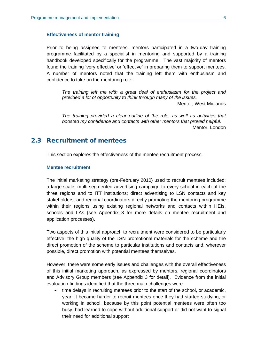#### **Effectiveness of mentor training**

Prior to being assigned to mentees, mentors participated in a two-day training programme facilitated by a specialist in mentoring and supported by a training handbook developed specifically for the programme. The vast majority of mentors found the training 'very effective' or 'effective' in preparing them to support mentees. A number of mentors noted that the training left them with enthusiasm and confidence to take on the mentoring role:

*The training left me with a great deal of enthusiasm for the project and provided a lot of opportunity to think through many of the issues.* Mentor, West Midlands

*The training provided a clear outline of the role, as well as activities that boosted my confidence and contacts with other mentors that proved helpful.*  Mentor, London

## <span id="page-16-0"></span>2.3 Recruitment of mentees

This section explores the effectiveness of the mentee recruitment process.

#### **Mentee recruitment**

The initial marketing strategy (pre-February 2010) used to recruit mentees included: a large-scale, multi-segmented advertising campaign to every school in each of the three regions and to ITT institutions; direct advertising to LSN contacts and key stakeholders; and regional coordinators directly promoting the mentoring programme within their regions using existing regional networks and contacts within HEIs, schools and LAs (see Appendix 3 for more details on mentee recruitment and application processes).

Two aspects of this initial approach to recruitment were considered to be particularly effective: the high quality of the LSN promotional materials for the scheme and the direct promotion of the scheme to particular institutions and contacts and, wherever possible, direct promotion with potential mentees themselves.

However, there were some early issues and challenges with the overall effectiveness of this initial marketing approach, as expressed by mentors, regional coordinators and Advisory Group members (see Appendix 3 for detail). Evidence from the initial evaluation findings identified that the three main challenges were:

• time delays in recruiting mentees prior to the start of the school, or academic, year. It became harder to recruit mentees once they had started studying, or working in school, because by this point potential mentees were often too busy, had learned to cope without additional support or did not want to signal their need for additional support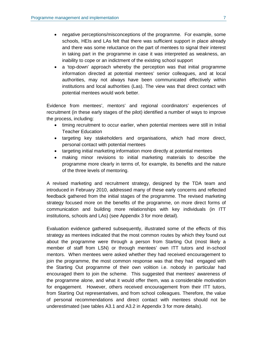- negative perceptions/misconceptions of the programme. For example, some schools, HEIs and LAs felt that there was sufficient support in place already and there was some reluctance on the part of mentees to signal their interest in taking part in the programme in case it was interpreted as weakness, an inability to cope or an indictment of the existing school support
- a 'top-down' approach whereby the perception was that initial programme information directed at potential mentees' senior colleagues, and at local authorities, may not always have been communicated effectively within institutions and local authorities (Las). The view was that direct contact with potential mentees would work better.

Evidence from mentees', mentors' and regional coordinators' experiences of recruitment (in these early stages of the pilot) identified a number of ways to improve the process, including:

- timing recruitment to occur earlier, when potential mentees were still in Initial Teacher Education
- targeting key stakeholders and organisations, which had more direct, personal contact with potential mentees
- targeting initial marketing information more directly at potential mentees
- making minor revisions to initial marketing materials to describe the programme more clearly in terms of, for example, its benefits and the nature of the three levels of mentoring.

A revised marketing and recruitment strategy, designed by the TDA team and introduced in February 2010, addressed many of these early concerns and reflected feedback gathered from the initial stages of the programme. The revised marketing strategy focused more on the benefits of the programme, on more direct forms of communication and building more relationships with key individuals (in ITT institutions, schools and LAs) (see Appendix 3 for more detail).

Evaluation evidence gathered subsequently, illustrated some of the effects of this strategy as mentees indicated that the most common routes by which they found out about the programme were through a person from Starting Out (most likely a member of staff from LSN) or through mentees' own ITT tutors and in-school mentors. When mentees were asked whether they had received encouragement to join the programme, the most common response was that they had engaged with the Starting Out programme of their own volition i.e. nobody in particular had encouraged them to join the scheme. This suggested that mentees' awareness of the programme alone, and what it would offer them, was a considerable motivation for engagement. However, others received encouragement from their ITT tutors, from Starting Out representatives, and from school colleagues. Therefore, the value of personal recommendations and direct contact with mentees should not be underestimated (see tables A3.1 and A3.2 in Appendix 3 for more details).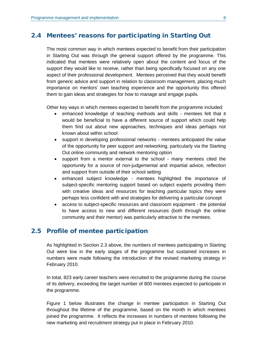### <span id="page-18-0"></span>2.4 Mentees' reasons for participating in Starting Out

The most common way in which mentees expected to benefit from their participation in Starting Out was through the general support offered by the programme. This indicated that mentees were relatively open about the content and focus of the support they would like to receive, rather than being specifically focused on any one aspect of their professional development. Mentees perceived that they would benefit from generic advice and support in relation to classroom management, placing much importance on mentors' own teaching experience and the opportunity this offered them to gain ideas and strategies for how to manage and engage pupils.

Other key ways in which mentees expected to benefit from the programme included:

- enhanced knowledge of teaching methods and skills mentees felt that it would be beneficial to have a different source of support which could help them find out about new approaches, techniques and ideas perhaps not known about within school
- support in developing professional networks mentees anticipated the value of the opportunity for peer support and networking, particularly via the Starting Out online community and network mentoring option
- support from a mentor external to the school many mentees cited the opportunity for a source of non-judgemental and impartial advice, reflection and support from outside of their school setting
- enhanced subject knowledge mentees highlighted the importance of subject-specific mentoring support based on subject experts providing them with creative ideas and resources for teaching particular topics they were perhaps less confident with and strategies for delivering a particular concept
- access to subject-specific resources and classroom equipment the potential to have access to new and different resources (both through the online community and their mentor) was particularly attractive to the mentees.

## <span id="page-18-1"></span>2.5 Profile of mentee participation

As highlighted in Section 2.3 above, the numbers of mentees participating in Starting Out were low in the early stages of the programme but sustained increases in numbers were made following the introduction of the revised marketing strategy in February 2010.

In total, 823 early career teachers were recruited to the programme during the course of its delivery, exceeding the target number of 800 mentees expected to participate in the programme.

Figure 1 below illustrates the change in mentee participation in Starting Out throughout the lifetime of the programme, based on the month in which mentees joined the programme. It reflects the increases in numbers of mentees following the new marketing and recruitment strategy put in place in February 2010.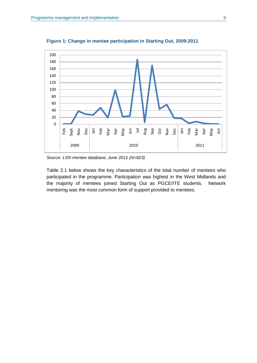

**Figure 1: Change in mentee participation in Starting Out, 2009-2011**

*Source: LSN mentee database, June 2011 (N=823)*

Table 2.1 below shows the key characteristics of the total number of mentees who participated in the programme. Participation was highest in the West Midlands and the majority of mentees joined Starting Out as PGCE/ITE students. Network mentoring was the most common form of support provided to mentees.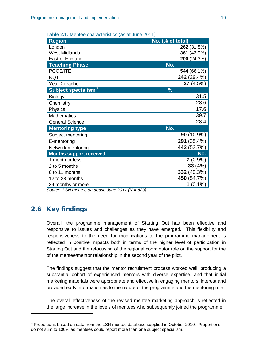| <b>Region</b>                   | No. (% of total)     |
|---------------------------------|----------------------|
| London                          | 262 (31.8%)          |
| <b>West Midlands</b>            | 361 (43.9%)          |
| East of England                 | 200 (24.3%)          |
| <b>Teaching Phase</b>           | No.                  |
| PGCE/ITE                        | 544 (66.1%)          |
| <b>NQT</b>                      | 242 (29.4%)          |
| Year 2 teacher                  | 37 $(4.5%)$          |
| Subject specialism <sup>3</sup> | $\frac{9}{6}$        |
| Biology                         | 31.5                 |
| Chemistry                       | 28.6                 |
| Physics                         | 17.6                 |
| <b>Mathematics</b>              | 39.7                 |
| <b>General Science</b>          | 28.4                 |
| <b>Mentoring type</b>           | No.                  |
| Subject mentoring               | <b>90</b> $(10.9\%)$ |
| E-mentoring                     | 291 (35.4%)          |
| Network mentoring               | 442 (53.7%)          |
| <b>Months support received</b>  | No.                  |
| 1 month or less                 | $7(0.9\%)$           |
| 2 to 5 months                   | 33(4%)               |
| 6 to 11 months                  | 332 (40.3%)          |
| 12 to 23 months                 | 450 (54.7%)          |
| 24 months or more               | $1(0.1\%)$           |

**Table 2.1:** Mentee characteristics (as at June 2011)

*Source: LSN mentee database June 2011 (N = 823)*

## <span id="page-20-0"></span>2.6 Key findings

-

Overall, the programme management of Starting Out has been effective and responsive to issues and challenges as they have emerged. This flexibility and responsiveness to the need for modifications to the programme management is reflected in positive impacts both in terms of the higher level of participation in Starting Out and the refocusing of the regional coordinator role on the support for the of the mentee/mentor relationship in the second year of the pilot.

The findings suggest that the mentor recruitment process worked well, producing a substantial cohort of experienced mentors with diverse expertise, and that initial marketing materials were appropriate and effective in engaging mentors' interest and provided early information as to the nature of the programme and the mentoring role.

The overall effectiveness of the revised mentee marketing approach is reflected in the large increase in the levels of mentees who subsequently joined the programme.

<span id="page-20-1"></span><sup>&</sup>lt;sup>3</sup> Proportions based on data from the LSN mentee database supplied in October 2010. Proportions do not sum to 100% as mentees could report more than one subject specialism.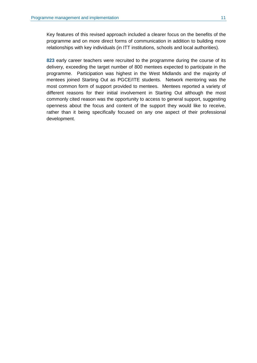Key features of this revised approach included a clearer focus on the benefits of the programme and on more direct forms of communication in addition to building more relationships with key individuals (in ITT institutions, schools and local authorities).

**823** early career teachers were recruited to the programme during the course of its delivery, exceeding the target number of 800 mentees expected to participate in the programme. Participation was highest in the West Midlands and the majority of mentees joined Starting Out as PGCE/ITE students. Network mentoring was the most common form of support provided to mentees. Mentees reported a variety of different reasons for their initial involvement in Starting Out although the most commonly cited reason was the opportunity to access to general support, suggesting openness about the focus and content of the support they would like to receive, rather than it being specifically focused on any one aspect of their professional development.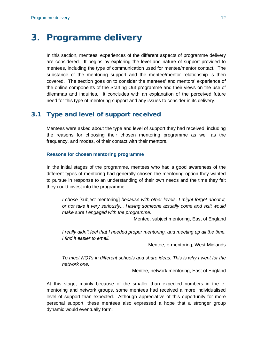## <span id="page-22-0"></span>3. Programme delivery

In this section, mentees' experiences of the different aspects of programme delivery are considered. It begins by exploring the level and nature of support provided to mentees, including the type of communication used for mentee/mentor contact. The substance of the mentoring support and the mentee/mentor relationship is then covered. The section goes on to consider the mentees' and mentors' experience of the online components of the Starting Out programme and their views on the use of dilemmas and inquiries. It concludes with an explanation of the perceived future need for this type of mentoring support and any issues to consider in its delivery.

## <span id="page-22-1"></span>3.1 Type and level of support received

Mentees were asked about the type and level of support they had received, including the reasons for choosing their chosen mentoring programme as well as the frequency, and modes, of their contact with their mentors.

#### **Reasons for chosen mentoring programme**

In the initial stages of the programme, mentees who had a good awareness of the different types of mentoring had generally chosen the mentoring option they wanted to pursue in response to an understanding of their own needs and the time they felt they could invest into the programme:

*I chose* [subject mentoring] *because with other levels, I might forget about it, or not take it very seriously... Having someone actually come and visit would make sure I engaged with the programme*.

Mentee, subject mentoring, East of England

*I really didn't feel that I needed proper mentoring, and meeting up all the time. I find it easier to email.*

Mentee, e-mentoring, West Midlands

*To meet NQTs in different schools and share ideas. This is why I went for the network one.*

Mentee, network mentoring, East of England

At this stage, mainly because of the smaller than expected numbers in the ementoring and network groups, some mentees had received a more individualised level of support than expected. Although appreciative of this opportunity for more personal support, these mentees also expressed a hope that a stronger group dynamic would eventually form: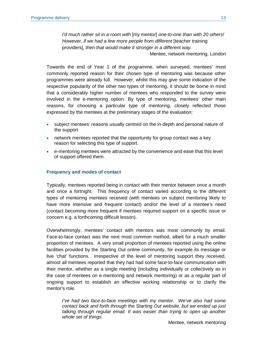*I'd much rather sit in a room with* [my mentor] *one-to-one than with 20 others! However, if we had a few more people from different* [teacher training] providers], *then that would make it stronger in a different way.*

Mentee, network mentoring, London

Towards the end of Year 1 of the programme, when surveyed, mentees' most commonly reported reason for their chosen type of mentoring was because other programmes were already full. However, whilst this may give some indication of the respective popularity of the other two types of mentoring, it should be borne in mind that a considerably higher number of mentees who responded to the survey were involved in the e-mentoring option. By type of mentoring, mentees' other main reasons, for choosing a particular type of mentoring, closely reflected those expressed by the mentees at the preliminary stages of the evaluation:

- subject mentees' reasons usually centred on the in-depth and personal nature of the support
- network mentees reported that the opportunity for group contact was a key reason for selecting this type of support.
- e-mentoring mentees were attracted by the convenience and ease that this level of support offered them.

#### **Frequency and modes of contact**

Typically, mentees reported being in contact with their mentor between once a month and once a fortnight. This frequency of contact varied according to the different types of mentoring mentees received (with mentees on subject mentoring likely to have more intensive and frequent contact) and/or the level of a mentee's need (contact becoming more frequent if mentees required support on a specific issue or concern e.g. a forthcoming difficult lesson).

Overwhelmingly, mentees' contact with mentors was most commonly by email. Face-to-face contact was the next most common method, albeit for a much smaller proportion of mentees. A very small proportion of mentees reported using the online facilities provided by the Starting Out online community, for example its message or live 'chat' functions. Irrespective of the level of mentoring support they received, almost all mentees reported that they had had some face-to-face communication with their mentor, whether as a single meeting (including individually or collectively as in the case of mentees on e-mentoring and network mentoring) or as a regular part of ongoing support to establish an effective working relationship or to clarify the mentor's role.

*I've had two face-to-face meetings with my mentor. We've also had some contact back and forth through the Starting Out website, but we ended up just talking through regular email. It was easier than trying to open up another whole set of things.* 

Mentee, network mentoring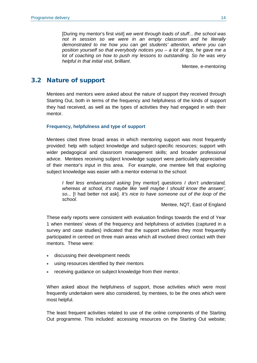[During my mentor's first visit] *we went through loads of stuff... the school was not in session so we were in an empty classroom and he literally demonstrated to me how you can get students' attention, where you can position yourself so that everybody notices you – a lot of tips, he gave me a lot of coaching on how to push my lessons to outstanding. So he was very helpful in that initial visit, brilliant*.

Mentee, e-mentoring

## <span id="page-24-0"></span>3.2 Nature of support

Mentees and mentors were asked about the nature of support they received through Starting Out, both in terms of the frequency and helpfulness of the kinds of support they had received, as well as the types of activities they had engaged in with their mentor.

#### **Frequency, helpfulness and type of support**

Mentees cited three broad areas in which mentoring support was most frequently provided: help with subject knowledge and subject-specific resources; support with wider pedagogical and classroom management skills; and broader professional advice. Mentees receiving subject knowledge support were particularly appreciative of their mentor's input in this area. For example, one mentee felt that exploring subject knowledge was easier with a mentor external to the school:

*I feel less embarrassed asking* [my mentor] *questions I don't understand, whereas at school, it's maybe like 'well maybe I should know the answer', so...* [I had better not ask]. *It's nice to have someone out of the loop of the school.* 

Mentee, NQT, East of England

These early reports were consistent with evaluation findings towards the end of Year 1 when mentees' views of the frequency and helpfulness of activities (captured in a survey and case studies) indicated that the support activities they most frequently participated in centred on three main areas which all involved direct contact with their mentors. These were:

- discussing their development needs
- using resources identified by their mentors
- receiving guidance on subject knowledge from their mentor.

When asked about the helpfulness of support, those activities which were most frequently undertaken were also considered, by mentees, to be the ones which were most helpful.

The least frequent activities related to use of the online components of the Starting Out programme. This included: accessing resources on the Starting Out website;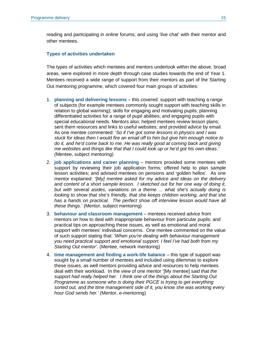reading and participating in online forums; and using 'live chat' with their mentor and other mentees.

#### **Types of activities undertaken**

The types of activities which mentees and mentors undertook within the above, broad areas, were explored in more depth through case studies towards the end of Year 1. Mentees received a wide range of support from their mentors as part of the Starting Out mentoring programme, which covered four main groups of activities:

- 1. **planning and delivering lessons** this covered: support with teaching a range of subjects (for example mentees commonly sought support with teaching skills in relation to global warming); skills for engaging and motivating pupils; planning differentiated activities for a range of pupil abilities; and engaging pupils with special educational needs. Mentors also: helped mentees review lesson plans; sent them resources and links to useful websites; and provided advice by email. As one mentee commented: '*So if I've got some lessons in physics and I was stuck for ideas then I would fire an email off to him but give him enough notice to*  do it, and he'd come back to me. He was really good at coming back and giving *me websites and things like that that I could look up or he'd got his own ideas.' (*Mentee, subject mentoring)
- 2. **job applications and career planning** mentors provided some mentees with support by reviewing their job application forms; offered help to plan sample lesson activities; and advised mentees on pensions and 'golden hellos'. As one mentor explained: '[M*y] mentee asked for my advice and ideas on the delivery and content of a short sample lesson. I sketched out for her one way of doing it, but with several asides, variations on a theme ... what she's actually doing is looking to show that she's friendly, that she keeps children working, and that she*  has a hands on practical. The perfect show off interview lesson would have all *these things*.' (Mentor, subject mentoring)
- 3. **behaviour and classroom management** mentees received advice from mentors on how to deal with inappropriate behaviour from particular pupils; and practical tips on approaching these issues, as well as emotional and moral support with mentees' individual concerns. One mentee commented on the value of such support stating that: '*When you're dealing with behaviour management you need practical support and emotional support. I feel I've had both from my Starting Out mentor*'. (Mentee, network mentoring)
- 4. **time management and finding a work-life balance** this type of support was sought by a small number of mentees and included using dilemmas to explore these issues, as well mentors providing advice and resources to help mentees deal with their workload. In the view of one mentor '[My mentee] *said that the support had really helped her. I think one of the things about the Starting Out Programme as someone who is doing their PGCE is trying to get everything sorted out, and the time management side of it, you know she was working every hour God sends her.' (*Mentor, e-mentoring)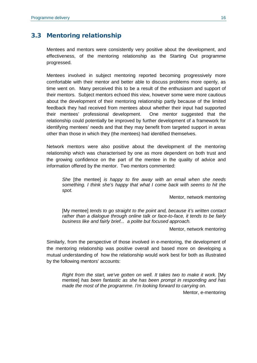## <span id="page-26-0"></span>3.3 Mentoring relationship

Mentees and mentors were consistently very positive about the development, and effectiveness, of the mentoring relationship as the Starting Out programme progressed.

Mentees involved in subject mentoring reported becoming progressively more comfortable with their mentor and better able to discuss problems more openly, as time went on. Many perceived this to be a result of the enthusiasm and support of their mentors. Subject mentors echoed this view, however some were more cautious about the development of their mentoring relationship partly because of the limited feedback they had received from mentees about whether their input had supported their mentees' professional development. One mentor suggested that the relationship could potentially be improved by further development of a framework for identifying mentees' needs and that they may benefit from targeted support in areas other than those in which they (the mentees) had identified themselves.

Network mentors were also positive about the development of the mentoring relationship which was characterised by one as more dependent on both trust and the growing confidence on the part of the mentee in the quality of advice and information offered by the mentor. Two mentors commented:

*She* [the mentee] *is happy to fire away with an email when she needs something. I think she's happy that what I come back with seems to hit the spot.* 

Mentor, network mentoring

[My mentee] *tends to go straight to the point and, because it's written contact rather than a dialogue through online talk or face-to-face, it tends to be fairly business like and fairly brief... a polite but focused approach.*

Mentor, network mentoring

Similarly, from the perspective of those involved in e-mentoring, the development of the mentoring relationship was positive overall and based more on developing a mutual understanding of how the relationship would work best for both as illustrated by the following mentors' accounts:

*Right from the start, we've gotten on well. It takes two to make it work.* [My mentee] *has been fantastic as she has been prompt in responding and has made the most of the programme. I'm looking forward to carrying on.*

Mentor, e-mentoring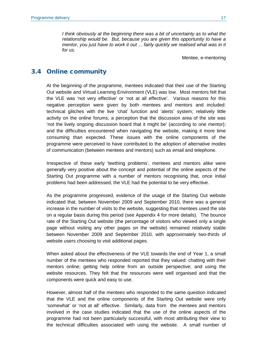*I think obviously at the beginning there was a bit of uncertainty as to what the relationship would be. But, because you are given this opportunity to have a mentor, you just have to work it out ... fairly quickly we realised what was in it for us.*

Mentee, e-mentoring

### <span id="page-27-0"></span>3.4 Online community

At the beginning of the programme, mentees indicated that their use of the Starting Out website and Virtual Learning Environment (VLE) was low. Most mentors felt that the VLE was 'not very effective' or 'not at all effective'. Various reasons for this negative perception were given by both mentees and mentors and included: technical glitches with the live 'chat' function and 'alerts' system; relatively little activity on the online forums; a perception that the discussion area of the site was 'not the lively ongoing discussion board that it might be' (according to one mentor); and the difficulties encountered when navigating the website, making it more time consuming than expected. These issues with the online components of the programme were perceived to have contributed to the adoption of alternative modes of communication (between mentees and mentors) such as email and telephone.

Irrespective of these early 'teething problems', mentees and mentors alike were generally very positive about the concept and potential of the online aspects of the Starting Out programme with a number of mentors recognising that, once initial problems had been addressed, the VLE had the potential to be very effective.

As the programme progressed, evidence of the usage of the Starting Out website indicated that, between November 2009 and September 2010, there was a general increase in the number of visits to the website, suggesting that mentees used the site on a regular basis during this period (see Appendix 4 for more details). The bounce rate of the Starting Out website (the percentage of visitors who viewed only a single page without visiting any other pages on the website) remained relatively stable between November 2009 and September 2010, with approximately two-thirds of website users choosing to visit additional pages.

When asked about the effectiveness of the VLE towards the end of Year 1, a small number of the mentees who responded reported that they valued: chatting with their mentors online; getting help online from an outside perspective; and using the website resources. They felt that the resources were well organised and that the components were quick and easy to use.

However, almost half of the mentees who responded to the same question indicated that the VLE and the online components of the Starting Out website were only 'somewhat' or 'not at all' effective. Similarly, data from the mentees and mentors involved in the case studies indicated that the use of the online aspects of the programme had not been particularly successful, with most attributing their view to the technical difficulties associated with using the website. A small number of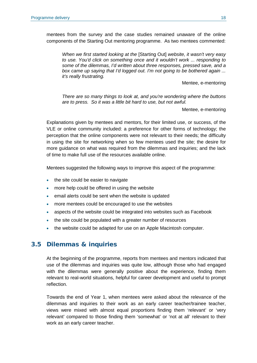mentees from the survey and the case studies remained unaware of the online components of the Starting Out mentoring programme. As two mentees commented:

*When we first started looking at the* [Starting Out] *website, it wasn't very easy to use. You'd click on something once and it wouldn't work ... responding to some of the dilemmas, I'd written about three responses, pressed save, and a box came up saying that I'd logged out. I'm not going to be bothered again ... it's really frustrating.* 

Mentee, e-mentoring

*There are so many things to look at, and you're wondering where the buttons are to press. So it was a little bit hard to use, but not awful.*

Mentee, e-mentoring

Explanations given by mentees and mentors, for their limited use, or success, of the VLE or online community included: a preference for other forms of technology; the perception that the online components were not relevant to their needs; the difficulty in using the site for networking when so few mentees used the site; the desire for more guidance on what was required from the dilemmas and inquiries; and the lack of time to make full use of the resources available online.

Mentees suggested the following ways to improve this aspect of the programme:

- the site could be easier to navigate
- more help could be offered in using the website
- email alerts could be sent when the website is updated
- more mentees could be encouraged to use the websites
- aspects of the website could be integrated into websites such as Facebook
- the site could be populated with a greater number of resources
- the website could be adapted for use on an Apple Macintosh computer.

#### <span id="page-28-0"></span>3.5 Dilemmas & inquiries

At the beginning of the programme, reports from mentees and mentors indicated that use of the dilemmas and inquiries was quite low, although those who had engaged with the dilemmas were generally positive about the experience, finding them relevant to real-world situations, helpful for career development and useful to prompt reflection.

Towards the end of Year 1, when mentees were asked about the relevance of the dilemmas and inquiries to their work as an early career teacher/trainee teacher, views were mixed with almost equal proportions finding them 'relevant' or 'very relevant' compared to those finding them 'somewhat' or 'not at all' relevant to their work as an early career teacher.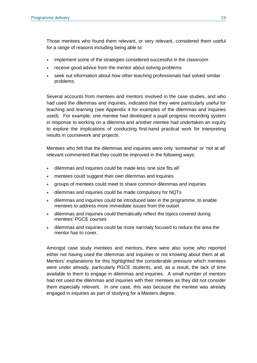Those mentees who found them relevant, or very relevant, considered them useful for a range of reasons including being able to:

- implement some of the strategies considered successful in the classroom
- receive good advice from the mentor about solving problems
- seek out information about how other teaching professionals had solved similar problems.

Several accounts from mentees and mentors involved in the case studies, and who had used the dilemmas and inquiries, indicated that they were particularly useful for teaching and learning (see Appendix 4 for examples of the dilemmas and inquiries used). For example, one mentee had developed a pupil progress recording system in response to working on a dilemma and another mentee had undertaken an inquiry to explore the implications of conducting first-hand practical work for interpreting results in coursework and projects.

Mentees who felt that the dilemmas and inquiries were only 'somewhat' or 'not at all' relevant commented that they could be improved in the following ways:

- dilemmas and inquiries could be made less 'one size fits all'
- mentees could suggest their own dilemmas and inquiries
- groups of mentees could meet to share common dilemmas and inquiries
- dilemmas and inquiries could be made compulsory for NQTs
- dilemmas and inquiries could be introduced later in the programme, to enable mentees to address more immediate issues from the outset
- dilemmas and inquiries could thematically reflect the topics covered during mentees' PGCE courses
- dilemmas and inquiries could be more narrowly focused to reduce the area the mentor has to cover.

Amongst case study mentees and mentors, there were also some who reported either not having used the dilemmas and inquiries or not knowing about them at all. Mentors' explanations for this highlighted the considerable pressure which mentees were under already, particularly PGCE students, and, as a result, the lack of time available to them to engage in dilemmas and inquiries. A small number of mentors had not used the dilemmas and inquiries with their mentees as they did not consider them especially relevant. In one case, this was because the mentee was already engaged in inquiries as part of studying for a Masters degree.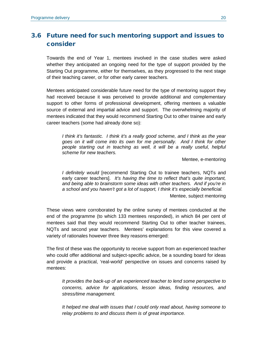## <span id="page-30-0"></span>3.6 Future need for such mentoring support and issues to consider

Towards the end of Year 1, mentees involved in the case studies were asked whether they anticipated an ongoing need for the type of support provided by the Starting Out programme, either for themselves, as they progressed to the next stage of their teaching career, or for other early career teachers.

Mentees anticipated considerable future need for the type of mentoring support they had received because it was perceived to provide additional and complementary support to other forms of professional development, offering mentees a valuable source of external and impartial advice and support. The overwhelming majority of mentees indicated that they would recommend Starting Out to other trainee and early career teachers (some had already done so):

*I think it's fantastic. I think it's a really good scheme, and I think as the year goes on it will come into its own for me personally. And I think for other people starting out in teaching as well, it will be a really useful, helpful scheme for new teachers.*

Mentee, e-mentoring

*I definitely would* [recommend Starting Out to trainee teachers, NQTs and early career teachers]. *It's having the time to reflect that's quite important, and being able to brainstorm some ideas with other teachers. And if you're in a school and you haven't got a lot of support, I think it's especially beneficial.*

Mentee, subject mentoring

These views were corroborated by the online survey of mentees conducted at the end of the programme (to which 133 mentees responded), in which 84 per cent of mentees said that they would recommend Starting Out to other teacher trainees, NQTs and second year teachers. Mentees' explanations for this view covered a variety of rationales however three tkey reasons emerged:

The first of these was the opportunity to receive support from an experienced teacher who could offer additional and subject-specific advice, be a sounding board for ideas and provide a practical, 'real-world' perspective on issues and concerns raised by mentees:

*It provides the back-up of an experienced teacher to lend some perspective to concerns, advice for applications, lesson ideas, finding resources, and stress/time management.*

*It helped me deal with issues that I could only read about, having someone to relay problems to and discuss them is of great importance.*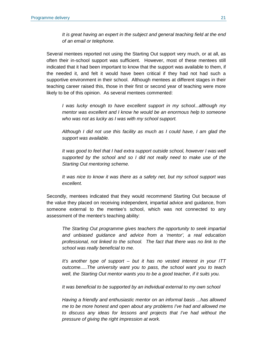*It is great having an expert in the subject and general teaching field at the end of an email or telephone.*

Several mentees reported not using the Starting Out support very much, or at all, as often their in-school support was sufficient. However, most of these mentees still indicated that it had been important to know that the support was available to them, if the needed it, and felt it would have been critical if they had not had such a supportive environment in their school. Although mentees at different stages in their teaching career raised this, those in their first or second year of teaching were more likely to be of this opinion. As several mentees commented:

*I was lucky enough to have excellent support in my school...although my mentor was excellent and I know he would be an enormous help to someone who was not as lucky as I was with my school support.*

*Although I did not use this facility as much as I could have, I am glad the support was available.*

*It was good to feel that I had extra support outside school, however I was well supported by the school and so I did not really need to make use of the Starting Out mentoring scheme.*

*It was nice to know it was there as a safety net, but my school support was excellent.*

Secondly, mentees indicated that they would recommend Starting Out because of the value they placed on receiving independent, impartial advice and guidance, from someone external to the mentee's school, which was not connected to any assessment of the mentee's teaching ability:

*The Starting Out programme gives teachers the opportunity to seek impartial and unbiased guidance and advice from a 'mentor', a real education professional, not linked to the school. The fact that there was no link to the school was really beneficial to me.*

*It's another type of support – but it has no vested interest in your ITT outcome.....The university want you to pass, the school want you to teach well, the Starting Out mentor wants you to be a good teacher, if it suits you.*

*It was beneficial to be supported by an individual external to my own school*

*Having a friendly and enthusiastic mentor on an informal basis ...has allowed me to be more honest and open about any problems I've had and allowed me to discuss any ideas for lessons and projects that I've had without the pressure of giving the right impression at work.*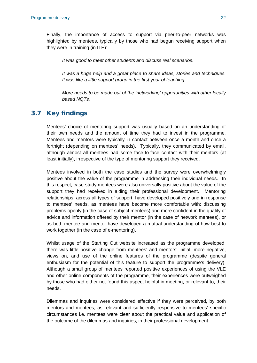Finally, the importance of access to support via peer-to-peer networks was highlighted by mentees, typically by those who had begun receiving support when they were in training (in ITE):

*It was good to meet other students and discuss real scenarios.*

*It was a huge help and a great place to share ideas, stories and techniques. It was like a little support group in the first year of teaching.*

*More needs to be made out of the 'networking' opportunities with other locally based NQTs.*

### <span id="page-32-0"></span>3.7 Key findings

Mentees' choice of mentoring support was usually based on an understanding of their own needs and the amount of time they had to invest in the programme. Mentees and mentors were typically in contact between once a month and once a fortnight (depending on mentees' needs). Typically, they communicated by email, although almost all mentees had some face-to-face contact with their mentors (at least initially), irrespective of the type of mentoring support they received.

Mentees involved in both the case studies and the survey were overwhelmingly positive about the value of the programme in addressing their individual needs. In this respect, case-study mentees were also universally positive about the value of the support they had received in aiding their professional development. Mentoring relationships, across all types of support, have developed positively and in response to mentees' needs, as mentees have become more comfortable with: discussing problems openly (in the case of subject mentees) and more confident in the quality of advice and information offered by their mentor (in the case of network mentees), or as both mentee and mentor have developed a mutual understanding of how best to work together (in the case of e-mentoring).

Whilst usage of the Starting Out website increased as the programme developed, there was little positive change from mentees' and mentors' initial, more negative, views on, and use of the online features of the programme (despite general enthusiasm for the potential of this feature to support the programme's delivery). Although a small group of mentees reported positive experiences of using the VLE and other online components of the programme, their experiences were outweighed by those who had either not found this aspect helpful in meeting, or relevant to, their needs.

Dilemmas and inquiries were considered effective if they were perceived, by both mentors and mentees, as relevant and sufficiently responsive to mentees' specific circumstances i.e. mentees were clear about the practical value and application of the outcome of the dilemmas and inquiries, in their professional development.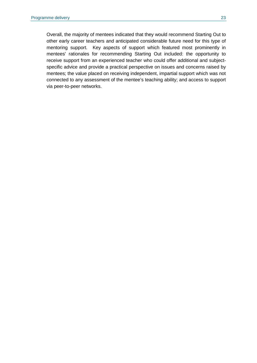Overall, the majority of mentees indicated that they would recommend Starting Out to other early career teachers and anticipated considerable future need for this type of mentoring support. Key aspects of support which featured most prominently in mentees' rationales for recommending Starting Out included: the opportunity to receive support from an experienced teacher who could offer additional and subjectspecific advice and provide a practical perspective on issues and concerns raised by mentees; the value placed on receiving independent, impartial support which was not connected to any assessment of the mentee's teaching ability; and access to support via peer-to-peer networks.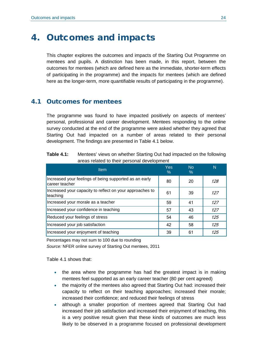## <span id="page-34-0"></span>4. Outcomes and impacts

This chapter explores the outcomes and impacts of the Starting Out Programme on mentees and pupils. A distinction has been made, in this report, between the outcomes for mentees (which are defined here as the immediate, shorter-term effects of participating in the programme) and the impacts for mentees (which are defined here as the longer-term, more quantifiable results of participating in the programme).

### <span id="page-34-1"></span>4.1 Outcomes for mentees

The programme was found to have impacted positively on aspects of mentees' personal, professional and career development. Mentees responding to the online survey conducted at the end of the programme were asked whether they agreed that Starting Out had impacted on a number of areas related to their personal development. The findings are presented in Table 4.1 below.

| <b>Table 4.1:</b> | Mentees' views on whether Starting Out had impacted on the following |
|-------------------|----------------------------------------------------------------------|
|                   | areas related to their personal development                          |

| <b>Item</b>                                                              | <b>Yes</b><br>$\%$ | No<br>$\%$ | N   |
|--------------------------------------------------------------------------|--------------------|------------|-----|
| Increased your feelings of being supported as an early<br>career teacher | 80                 | 20         | 128 |
| Increased your capacity to reflect on your approaches to<br>teaching     | 61                 | 39         | 127 |
| Increased your morale as a teacher                                       | 59                 | 41         | 127 |
| Increased your confidence in teaching                                    | 57                 | 43         | 127 |
| Reduced your feelings of stress                                          | 54                 | 46         | 125 |
| Increased your job satisfaction                                          | 42                 | 58         | 125 |
| Increased your enjoyment of teaching                                     | 39                 | 61         | 125 |

Percentages may not sum to 100 due to rounding

*Source:* NFER online survey of Starting Out mentees, 2011

Table 4.1 shows that:

- the area where the programme has had the greatest impact is in making mentees feel supported as an early career teacher (80 per cent agreed)
- the majority of the mentees also agreed that Starting Out had: increased their capacity to reflect on their teaching approaches; increased their morale; increased their confidence; and reduced their feelings of stress
- although a smaller proportion of mentees agreed that Starting Out had increased their job satisfaction and increased their enjoyment of teaching, this is a very positive result given that these kinds of outcomes are much less likely to be observed in a programme focused on professional development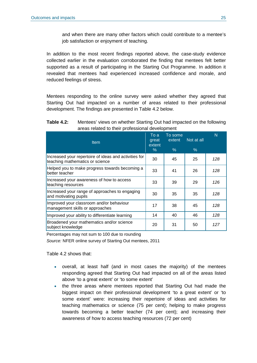and when there are many other factors which could contribute to a mentee's job satisfaction or enjoyment of teaching.

In addition to the most recent findings reported above, the case-study evidence collected earlier in the evaluation corroborated the finding that mentees felt better supported as a result of participating in the Starting Out Programme. In addition it revealed that mentees had experienced increased confidence and morale, and reduced feelings of stress.

Mentees responding to the online survey were asked whether they agreed that Starting Out had impacted on a number of areas related to their professional development. The findings are presented in Table 4.2 below.

#### **Table 4.2:** Mentees' views on whether Starting Out had impacted on the following areas related to their professional development

| <b>Item</b>                                                                              | To a<br>great<br>extent<br>$\%$ | To some<br>extent<br>$\%$ | Not at all<br>$\%$ | N   |
|------------------------------------------------------------------------------------------|---------------------------------|---------------------------|--------------------|-----|
|                                                                                          |                                 |                           |                    |     |
| Increased your repertoire of ideas and activities for<br>teaching mathematics or science | 30                              | 45                        | 25                 | 128 |
| Helped you to make progress towards becoming a<br>better teacher                         | 33                              | 41                        | 26                 | 128 |
| Increased your awareness of how to access<br>teaching resources                          | 33                              | 39                        | 29                 | 126 |
| Increased your range of approaches to engaging<br>and motivating pupils                  | 30                              | 35                        | 35                 | 128 |
| Improved your classroom and/or behaviour<br>management skills or approaches              | 17                              | 38                        | 45                 | 128 |
| Improved your ability to differentiate learning                                          | 14                              | 40                        | 46                 | 128 |
| Broadened your mathematics and/or science<br>subject knowledge                           | 20                              | 31                        | 50                 | 127 |

Percentages may not sum to 100 due to rounding

*Source:* NFER online survey of Starting Out mentees, 2011

Table 4.2 shows that:

- overall, at least half (and in most cases the majority) of the mentees responding agreed that Starting Out had impacted on all of the areas listed above 'to a great extent' or 'to some extent'
- the three areas where mentees reported that Starting Out had made the biggest impact on their professional development 'to a great extent' or 'to some extent' were: increasing their repertoire of ideas and activities for teaching mathematics or science (75 per cent); helping to make progress towards becoming a better teacher (74 per cent); and increasing their awareness of how to access teaching resources (72 per cent)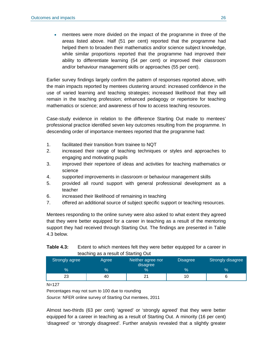• mentees were more divided on the impact of the programme in three of the areas listed above. Half (51 per cent) reported that the programme had helped them to broaden their mathematics and/or science subject knowledge, while similar proportions reported that the programme had improved their ability to differentiate learning (54 per cent) or improved their classroom and/or behaviour management skills or approaches (55 per cent).

Earlier survey findings largely confirm the pattern of responses reported above, with the main impacts reported by mentees clustering around: increased confidence in the use of varied learning and teaching strategies; increased likelihood that they will remain in the teaching profession; enhanced pedagogy or repertoire for teaching mathematics or science; and awareness of how to access teaching resources.

Case-study evidence in relation to the difference Starting Out made to mentees' professional practice identified seven key outcomes resulting from the programme. In descending order of importance mentees reported that the programme had:

- 1. facilitated their transition from trainee to NQT
- 2. increased their range of teaching techniques or styles and approaches to engaging and motivating pupils
- 3. improved their repertoire of ideas and activities for teaching mathematics or science
- 4. supported improvements in classroom or behaviour management skills
- 5. provided all round support with general professional development as a teacher
- 6. increased their likelihood of remaining in teaching
- 7. offered an additional source of subject specific support or teaching resources.

Mentees responding to the online survey were also asked to what extent they agreed that they were better equipped for a career in teaching as a result of the mentoring support they had received through Starting Out. The findings are presented in Table 4.3 below.

| Table 4.3: | Extent to which mentees felt they were better equipped for a career in |
|------------|------------------------------------------------------------------------|
|            | teaching as a result of Starting Out                                   |

| Strongly agree | <b>Agree</b> | Neither agree nor<br>disagree | <b>Disagree</b> | Strongly disagree |
|----------------|--------------|-------------------------------|-----------------|-------------------|
| $\%$           | $\%$         | $\%$                          | $\%$            | $\%$              |
| 23             | 40           |                               | 1 C             |                   |

N=127

Percentages may not sum to 100 due to rounding

*Source:* NFER online survey of Starting Out mentees, 2011

Almost two-thirds (63 per cent) 'agreed' or 'strongly agreed' that they were better equipped for a career in teaching as a result of Starting Out. A minority (16 per cent) 'disagreed' or 'strongly disagreed'. Further analysis revealed that a slightly greater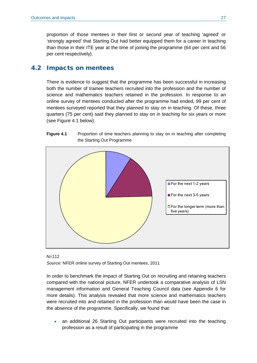proportion of those mentees in their first or second year of teaching 'agreed' or 'strongly agreed' that Starting Out had better equipped them for a career in teaching than those in their ITE year at the time of joining the programme (64 per cent and 56 per cent respectively).

### 4.2 Impacts on mentees

There is evidence to suggest that the programme has been successful in increasing both the number of trainee teachers recruited into the profession and the number of science and mathematics teachers retained in the profession. In response to an online survey of mentees conducted after the programme had ended, 99 per cent of mentees surveyed reported that they planned to stay on in teaching. Of these, three quarters (75 per cent) said they planned to stay on in teaching for six years or more (see Figure 4.1 below).

#### **Figure 4.1** Proportion of time teachers planning to stay on in teaching after completing the Starting Out Programme





In order to benchmark the impact of Starting Out on recruiting and retaining teachers compared with the national picture, NFER undertook a comparative analysis of LSN management information and General Teaching Council data (see Appendix 6 for more details). This analysis revealed that more science and mathematics teachers were recruited into and retained in the profession than would have been the case in the absence of the programme. Specifically, we found that:

• an additional 26 Starting Out participants were recruited into the teaching profession as a result of participating in the programme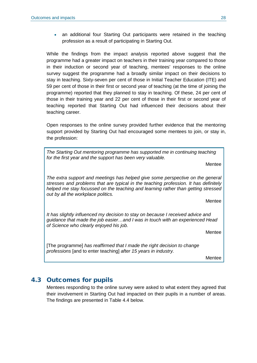• an additional four Starting Out participants were retained in the teaching profession as a result of participating in Starting Out.

While the findings from the impact analysis reported above suggest that the programme had a greater impact on teachers in their training year compared to those in their induction or second year of teaching, mentees' responses to the online survey suggest the programme had a broadly similar impact on their decisions to stay in teaching. Sixty-seven per cent of those in Initial Teacher Education (ITE) and 59 per cent of those in their first or second year of teaching (at the time of joining the programme) reported that they planned to stay in teaching. Of these, 24 per cent of those in their training year and 22 per cent of those in their first or second year of teaching reported that Starting Out had influenced their decisions about their teaching career.

Open responses to the online survey provided further evidence that the mentoring support provided by Starting Out had encouraged some mentees to join, or stay in, the profession:

*The Starting Out mentoring programme has supported me in continuing teaching for the first year and the support has been very valuable.* **Mentee** *The extra support and meetings has helped give some perspective on the general stresses and problems that are typical in the teaching profession. It has definitely helped me stay focussed on the teaching and learning rather than getting stressed out by all the workplace politics.* Mentee *It has slightly influenced my decision to stay on because I received advice and guidance that made the job easier…and I was in touch with an experienced Head of Science who clearly enjoyed his job.* Mentee [The programme] *has reaffirmed that I made the right decision to change professions* [and to enter teaching] *after 15 years in industry.*

**Mentee** 

## 4.3 Outcomes for pupils

Mentees responding to the online survey were asked to what extent they agreed that their involvement in Starting Out had impacted on their pupils in a number of areas. The findings are presented in Table 4.4 below.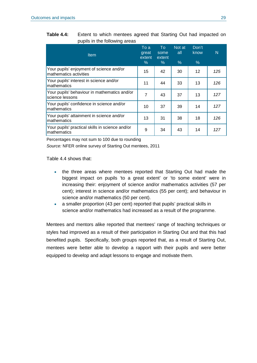| Table 4.4: | Extent to which mentees agreed that Starting Out had impacted on |  |
|------------|------------------------------------------------------------------|--|
|            | pupils in the following areas                                    |  |

| <b>Item</b>                                                        | To a<br>great<br>extent<br>$\%$ | To<br>some<br>extent<br>$\%$ | Not at<br>all<br>% | Don't<br>know<br>$\%$ | N   |
|--------------------------------------------------------------------|---------------------------------|------------------------------|--------------------|-----------------------|-----|
| Your pupils' enjoyment of science and/or<br>mathematics activities | 15                              | 42                           | 30                 | 12                    | 125 |
| Your pupils' interest in science and/or<br>mathematics             | 11                              | 44                           | 33                 | 13                    | 126 |
| Your pupils' behaviour in mathematics and/or<br>science lessons    | 7                               | 43                           | 37                 | 13                    | 127 |
| Your pupils' confidence in science and/or<br>mathematics           | 10                              | 37                           | 39                 | 14                    | 127 |
| Your pupils' attainment in science and/or<br>mathematics           | 13                              | 31                           | 38                 | 18                    | 126 |
| Your pupils' practical skills in science and/or<br>mathematics     | 9                               | 34                           | 43                 | 14                    | 127 |

Percentages may not sum to 100 due to rounding

*Source:* NFER online survey of Starting Out mentees, 2011

Table 4.4 shows that:

- the three areas where mentees reported that Starting Out had made the biggest impact on pupils 'to a great extent' or 'to some extent' were in increasing their: enjoyment of science and/or mathematics activities (57 per cent); interest in science and/or mathematics (55 per cent); and behaviour in science and/or mathematics (50 per cent).
- a smaller proportion (43 per cent) reported that pupils' practical skills in science and/or mathematics had increased as a result of the programme.

Mentees and mentors alike reported that mentees' range of teaching techniques or styles had improved as a result of their participation in Starting Out and that this had benefited pupils. Specifically, both groups reported that, as a result of Starting Out, mentees were better able to develop a rapport with their pupils and were better equipped to develop and adapt lessons to engage and motivate them.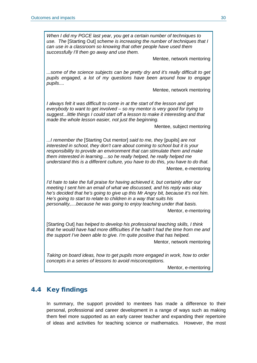*When I did my PGCE last year, you get a certain number of techniques to use. The* [Starting Out] *scheme is increasing the number of techniques that I can use in a classroom so knowing that other people have used them successfully I'll then go away and use them.*

Mentee, network mentoring

*...some of the science subjects can be pretty dry and it's really difficult to get pupils engaged, a lot of my questions have been around how to engage pupils....*

Mentee, network mentoring

*I always felt it was difficult to come in at the start of the lesson and get everybody to want to get involved – so my mentor is very good for trying to suggest...little things I could start off a lesson to make it interesting and that made the whole lesson easier, not just the beginning.*

Mentee, subject mentoring

*...I remember the* [Starting Out mentor] *said to me, they* [pupils] *are not interested in school, they don't care about coming to school but it is your responsibility to provide an environment that can stimulate them and make them interested in learning....so he really helped, he really helped me understand this is a different culture, you have to do this, you have to do that.*

Mentee, e-mentoring

*I'd hate to take the full praise for having achieved it, but certainly after our meeting I sent him an email of what we discussed, and his reply was okay he's decided that he's going to give up this Mr Angry bit, because it's not him. He's going to start to relate to children in a way that suits his personality,....because he was going to enjoy teaching under that basis.*

Mentor, e-mentoring

[Starting Out] *has helped to develop his professional teaching skills, I think that he would have had more difficulties if he hadn't had the time from me and the support I've been able to give. I'm quite positive that has helped.*

Mentor, network mentoring

*Taking on board ideas, how to get pupils more engaged in work, how to order concepts in a series of lessons to avoid misconceptions.*

Mentor, e-mentoring

## 4.4 Key findings

In summary, the support provided to mentees has made a difference to their personal, professional and career development in a range of ways such as making them feel more supported as an early career teacher and expanding their repertoire of ideas and activities for teaching science or mathematics. However, the most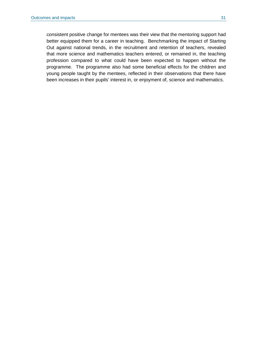consistent positive change for mentees was their view that the mentoring support had better equipped them for a career in teaching. Benchmarking the impact of Starting Out against national trends, in the recruitment and retention of teachers, revealed that more science and mathematics teachers entered, or remained in, the teaching profession compared to what could have been expected to happen without the programme. The programme also had some beneficial effects for the children and young people taught by the mentees, reflected in their observations that there have been increases in their pupils' interest in, or enjoyment of, science and mathematics.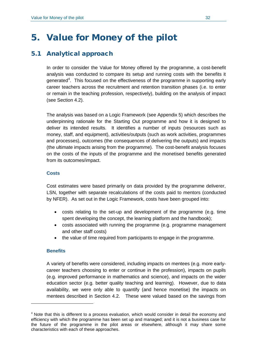## 5. Value for Money of the pilot

## 5.1 Analytical approach

In order to consider the Value for Money offered by the programme, a cost-benefit analysis was conducted to compare its setup and running costs with the benefits it generated<sup>[4](#page-42-0)</sup>. This focused on the effectiveness of the programme in supporting early career teachers across the recruitment and retention transition phases (i.e. to enter or remain in the teaching profession, respectively), building on the analysis of impact (see Section 4.2).

The analysis was based on a Logic Framework (see Appendix 5) which describes the underpinning rationale for the Starting Out programme and how it is designed to deliver its intended results. It identifies a number of inputs (resources such as money, staff, and equipment), activities/outputs (such as work activities, programmes and processes), outcomes (the consequences of delivering the outputs) and impacts (the ultimate impacts arising from the programme). The cost-benefit analysis focuses on the costs of the inputs of the programme and the monetised benefits generated from its outcomes/impact.

#### **Costs**

Cost estimates were based primarily on data provided by the programme deliverer, LSN, together with separate recalculations of the costs paid to mentors (conducted by NFER). As set out in the Logic Framework, costs have been grouped into:

- costs relating to the set-up and development of the programme (e.g. time spent developing the concept, the learning platform and the handbook);
- costs associated with running the programme (e.g. programme management and other staff costs)
- the value of time required from participants to engage in the programme.

#### **Benefits**

<u>.</u>

A variety of benefits were considered, including impacts on mentees (e.g. more earlycareer teachers choosing to enter or continue in the profession), impacts on pupils (e.g. improved performance in mathematics and science), and impacts on the wider education sector (e.g. better quality teaching and learning). However, due to data availability, we were only able to quantify (and hence monetise) the impacts on mentees described in Section 4.2. These were valued based on the savings from

<span id="page-42-0"></span> $4$  Note that this is different to a process evaluation, which would consider in detail the economy and efficiency with which the programme has been set up and managed; and it is not a business case for the future of the programme in the pilot areas or elsewhere, although it may share some characteristics with each of these approaches.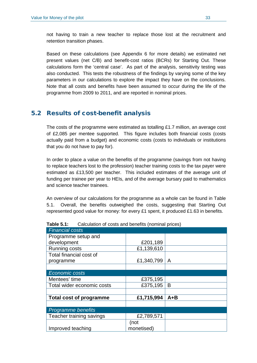not having to train a new teacher to replace those lost at the recruitment and retention transition phases.

Based on these calculations (see Appendix 6 for more details) we estimated net present values (net C/B) and benefit-cost ratios (BCRs) for Starting Out. These calculations form the 'central case'. As part of the analysis, sensitivity testing was also conducted. This tests the robustness of the findings by varying some of the key parameters in our calculations to explore the impact they have on the conclusions. Note that all costs and benefits have been assumed to occur during the life of the programme from 2009 to 2011, and are reported in nominal prices.

## 5.2 Results of cost-benefit analysis

The costs of the programme were estimated as totalling £1.7 million, an average cost of £2,085 per mentee supported. This figure includes both financial costs (costs actually paid from a budget) and economic costs (costs to individuals or institutions that you do not have to pay for).

In order to place a value on the benefits of the programme (savings from not having to replace teachers lost to the profession) teacher training costs to the tax payer were estimated as £13,500 per teacher. This included estimates of the average unit of funding per trainee per year to HEIs, and of the average bursary paid to mathematics and science teacher trainees.

An overview of our calculations for the programme as a whole can be found in Table 5.1. Overall, the benefits outweighed the costs, suggesting that Starting Out represented good value for money: for every £1 spent, it produced £1.63 in benefits.

| <b>Financial costs</b>         |            |              |
|--------------------------------|------------|--------------|
| Programme setup and            |            |              |
| development                    | £201,189   |              |
| <b>Running costs</b>           | £1,139,610 |              |
| Total financial cost of        |            |              |
| programme                      | £1,340,799 | $\mathsf{A}$ |
|                                |            |              |
| <b>Economic costs</b>          |            |              |
| Mentees' time                  | £375,195   |              |
| Total wider economic costs     | £375,195   | B            |
|                                |            |              |
| <b>Total cost of programme</b> | £1,715,994 | $A + B$      |
|                                |            |              |
| Programme benefits             |            |              |
| Teacher training savings       | £2,789,571 |              |
|                                | (not       |              |
| Improved teaching              | monetised) |              |

**Table 5.1:** Calculation of costs and benefits (nominal prices)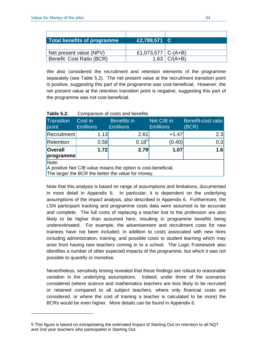-

| Total benefits of programme | £2,789,571 C           |           |
|-----------------------------|------------------------|-----------|
|                             |                        |           |
| Net present value (NPV)     | £1,073,577   $C-(A+B)$ |           |
| Benefit: Cost Ratio (BCR)   | 1.63                   | $C/(A+B)$ |

We also considered the recruitment and retention elements of the programme separately (see Table 5.2). The net present value at the recruitment transition point is positive, suggesting this part of the programme was cost-beneficial. However, the net present value at the retention transition point is negative; suggesting this part of the programme was not cost-beneficial.

|                             | <u>oompanoon or ooolo and sonomo</u> |                                                                                                                     |                                |                             |  |
|-----------------------------|--------------------------------------|---------------------------------------------------------------------------------------------------------------------|--------------------------------|-----------------------------|--|
| <b>Transition</b><br>point  | Cost in<br><b>£millions</b>          | <b>Benefits</b> in<br><b>£millions</b>                                                                              | Net C/B in<br><b>£millions</b> | Benefit-cost ratio<br>(BCR) |  |
| <b>Recruitment</b>          | 1.13                                 | 2.61                                                                                                                | $+1.47$                        | 2.3                         |  |
| Retention                   | 0.58                                 | $0.18^{5}$                                                                                                          | (0.40)                         | 0.3                         |  |
| <b>Overall</b><br>programme | 1.72                                 | 2.79                                                                                                                | 1.07                           | 1.6                         |  |
| Note:                       |                                      | A positive Net C/B value means the option is cost-beneficial.<br>The larger the BCR the better the value for money. |                                |                             |  |

#### **Table 5.2:** Comparison of costs and benefits

Note that this analysis is based on range of assumptions and limitations, documented in more detail in Appendix 6. In particular, it is dependent on the underlying assumptions of the impact analysis, also described in Appendix 6. Furthermore, the LSN participant tracking and programme costs data were assumed to be accurate and complete. The full costs of replacing a teacher lost to the profession are also likely to be higher than assumed here, resulting in programme benefits being underestimated. For example, the advertisement and recruitment costs for new trainees have not been included; in addition to costs associated with new hires including administration, training, and possible costs to student learning which may arise from having new teachers coming in to a school. The Logic Framework also identifies a number of other expected impacts of the programme, but which it was not possible to quantify or monetise.

Nevertheless, sensitivity testing revealed that these findings are robust to reasonable variation in the underlying assumptions. Indeed, under three of the scenarios considered (where science and mathematics teachers are less likely to be recruited or retained compared to all subject teachers, where only financial costs are considered, or where the cost of training a teacher is calculated to be more) the BCRs would be even higher. More details can be found in Appendix 6.

<span id="page-44-0"></span><sup>5</sup> This figure is based on extrapolating the estimated impact of Starting Out on retention to all NQT and 2nd year teachers who participated in Starting Out.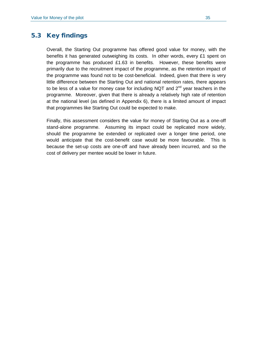## 5.3 Key findings

Overall, the Starting Out programme has offered good value for money, with the benefits it has generated outweighing its costs. In other words, every £1 spent on the programme has produced £1.63 in benefits. However, these benefits were primarily due to the recruitment impact of the programme, as the retention impact of the programme was found not to be cost-beneficial. Indeed, given that there is very little difference between the Starting Out and national retention rates, there appears to be less of a value for money case for including NQT and  $2^{nd}$  year teachers in the programme. Moreover, given that there is already a relatively high rate of retention at the national level (as defined in Appendix 6), there is a limited amount of impact that programmes like Starting Out could be expected to make.

Finally, this assessment considers the value for money of Starting Out as a one-off stand-alone programme. Assuming its impact could be replicated more widely, should the programme be extended or replicated over a longer time period, one would anticipate that the cost-benefit case would be more favourable. This is because the set-up costs are one-off and have already been incurred, and so the cost of delivery per mentee would be lower in future.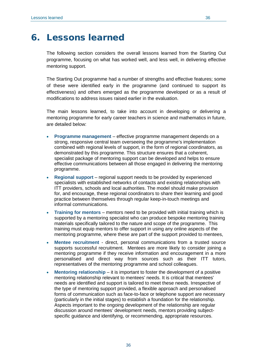The following section considers the overall lessons learned from the Starting Out programme, focusing on what has worked well, and less well, in delivering effective mentoring support.

The Starting Out programme had a number of strengths and effective features; some of these were identified early in the programme (and continued to support its effectiveness) and others emerged as the programme developed or as a result of modifications to address issues raised earlier in the evaluation.

The main lessons learned, to take into account in developing or delivering a mentoring programme for early career teachers in science and mathematics in future, are detailed below:

- **Programme management** effective programme management depends on a strong, responsive central team overseeing the programme's implementation combined with regional levels of support, in the form of regional coordinators, as demonstrated by this programme. This structure ensures that a coherent, specialist package of mentoring support can be developed and helps to ensure effective communications between all those engaged in delivering the mentoring programme.
- **Regional support**  regional support needs to be provided by experienced specialists with established networks of contacts and existing relationships with ITT providers, schools and local authorities. The model should make provision for, and encourage, these regional coordinators to share their learning and good practice between themselves through regular keep-in-touch meetings and informal communications.
- **Training for mentors**  mentors need to be provided with initial training which is supported by a mentoring specialist who can produce bespoke mentoring training materials specifically tailored to the nature and scope of the programme. This training must equip mentors to offer support in using any online aspects of the mentoring programme, where these are part of the support provided to mentees,
- **Mentee recruitment**  direct, personal communications from a trusted source supports successful recruitment. Mentees are more likely to consider joining a mentoring programme if they receive information and encouragement in a more personalised and direct way from sources such as their ITT tutors, representatives of the mentoring programme and school colleagues.
- **Mentoring relationship**  it is important to foster the development of a positive mentoring relationship relevant to mentees' needs. It is critical that mentees' needs are identified and support is tailored to meet these needs. Irrespective of the type of mentoring support provided, a flexible approach and personalised forms of communication such as face-to-face or telephone support are necessary (particularly in the initial stages) to establish a foundation for the relationship. Aspects important to the ongoing development of the relationship are regular discussion around mentees' development needs, mentors providing subjectspecific guidance and identifying, or recommending, appropriate resources.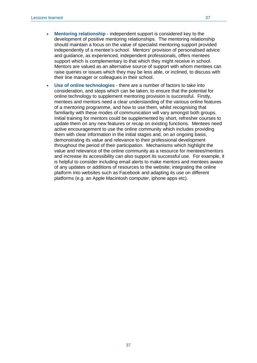- **Mentoring relationship**  independent support is considered key to the development of positive mentoring relationships. The mentoring relationship should maintain a focus on the value of specialist mentoring support provided independently of a mentee's school. Mentors' provision of personalised advice and guidance, as experienced, independent professionals, offers mentees support which is complementary to that which they might receive in school. Mentors are valued as an alternative source of support with whom mentees can raise queries or issues which they may be less able, or inclined, to discuss with their line manager or colleagues in their school.
- **Use of online technologies** there are a number of factors to take into consideration, and steps which can be taken, to ensure that the potential for online technology to supplement mentoring provision is successful. Firstly, mentees and mentors need a clear understanding of the various online features of a mentoring programme, and how to use them, whilst recognising that familiarity with these modes of communication will vary amongst both groups. Initial training for mentors could be supplemented by short, refresher courses to update them on any new features or recap on existing functions. Mentees need active encouragement to use the online community which includes providing them with clear information in the initial stages and, on an ongoing basis, demonstrating its value and relevance to their professional development throughout the period of their participation. Mechanisms which highlight the value and relevance of the online community as a resource for mentees/mentors and increase its accessibility can also support its successful use. For example, it is helpful to consider including email alerts to make mentors and mentees aware of any updates or additions of resources to the website; integrating the online platform into websites such as Facebook and adapting its use on different platforms (e.g. an Apple Macintosh computer, iphone apps etc).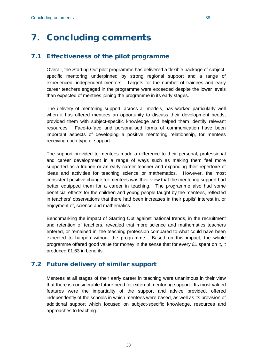## 7. Concluding comments

## 7.1 Effectiveness of the pilot programme

Overall, the Starting Out pilot programme has delivered a flexible package of subjectspecific mentoring underpinned by strong regional support and a range of experienced, independent mentors. Targets for the number of trainees and early career teachers engaged in the programme were exceeded despite the lower levels than expected of mentees joining the programme in its early stages.

The delivery of mentoring support, across all models, has worked particularly well when it has offered mentees an opportunity to discuss their development needs, provided them with subject-specific knowledge and helped them identify relevant resources. Face-to-face and personalised forms of communication have been important aspects of developing a positive mentoring relationship, for mentees receiving each type of support.

The support provided to mentees made a difference to their personal, professional and career development in a range of ways such as making them feel more supported as a trainee or an early career teacher and expanding their repertoire of ideas and activities for teaching science or mathematics. However, the most consistent positive change for mentees was their view that the mentoring support had better equipped them for a career in teaching. The programme also had some beneficial effects for the children and young people taught by the mentees, reflected in teachers' observations that there had been increases in their pupils' interest in, or enjoyment of, science and mathematics.

Benchmarking the impact of Starting Out against national trends, in the recruitment and retention of teachers, revealed that more science and mathematics teachers entered, or remained in, the teaching profession compared to what could have been expected to happen without the programme. Based on this impact, the whole programme offered good value for money in the sense that for every £1 spent on it, it produced £1.63 in benefits.

## 7.2 Future delivery of similar support

Mentees at all stages of their early career in teaching were unanimous in their view that there is considerable future need for external mentoring support. Its most valued features were the impartiality of the support and advice provided, offered independently of the schools in which mentees were based, as well as its provision of additional support which focused on subject-specific knowledge, resources and approaches to teaching.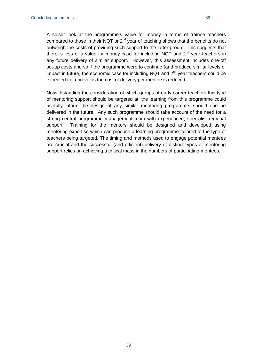A closer look at the programme's value for money in terms of trainee teachers compared to those in their NQT or 2<sup>nd</sup> year of teaching shows that the benefits do not outweigh the costs of providing such support to the latter group. This suggests that there is less of a value for money case for including NQT and  $2<sup>nd</sup>$  year teachers in any future delivery of similar support. However, this assessment includes one-off set-up costs and so if the programme were to continue (and produce similar levels of impact in future) the economic case for including NQT and  $2<sup>nd</sup>$  year teachers could be expected to improve as the cost of delivery per mentee is reduced.

Notwithstanding the consideration of which groups of early career teachers this type of mentoring support should be targeted at, the learning from this programme could usefully inform the design of any similar mentoring programme, should one be delivered in the future. Any such programme should take account of the need for a strong central programme management team with experienced, specialist regional support. Training for the mentors should be designed and developed using mentoring expertise which can produce a learning programme tailored to the type of teachers being targeted. The timing and methods used to engage potential mentees are crucial and the successful (and efficient) delivery of distinct types of mentoring support relies on achieving a critical mass in the numbers of participating mentees.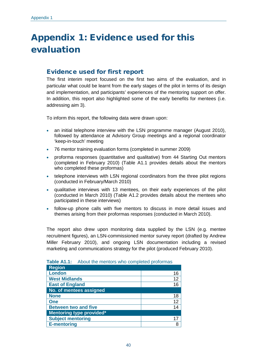# Appendix 1: Evidence used for this evaluation

## Evidence used for first report

The first interim report focused on the first two aims of the evaluation, and in particular what could be learnt from the early stages of the pilot in terms of its design and implementation, and participants' experiences of the mentoring support on offer. In addition, this report also highlighted some of the early benefits for mentees (i.e. addressing aim 3).

To inform this report, the following data were drawn upon:

- an initial telephone interview with the LSN programme manager (August 2010), followed by attendance at Advisory Group meetings and a regional coordinator 'keep-in-touch' meeting
- 76 mentor training evaluation forms (completed in summer 2009)
- proforma responses (quantitative and qualitative) from 44 Starting Out mentors (completed in February 2010) (Table A1.1 provides details about the mentors who completed these proformas)
- telephone interviews with LSN regional coordinators from the three pilot regions (conducted in February/March 2010)
- qualitative interviews with 13 mentees, on their early experiences of the pilot (conducted in March 2010) (Table A1.2 provides details about the mentees who participated in these interviews)
- follow-up phone calls with five mentors to discuss in more detail issues and themes arising from their proformas responses (conducted in March 2010).

The report also drew upon monitoring data supplied by the LSN (e.g. mentee recruitment figures), an LSN-commissioned mentor survey report (drafted by Andrew Miller February 2010), and ongoing LSN documentation including a revised marketing and communications strategy for the pilot (produced February 2010).

| <b>Region</b>                   |    |
|---------------------------------|----|
| <b>London</b>                   | 16 |
| <b>West Midlands</b>            | 12 |
| <b>East of England</b>          | 16 |
| No. of mentees assigned         |    |
| <b>None</b>                     | 18 |
| <b>One</b>                      | 12 |
| <b>Between two and five</b>     | 14 |
| <b>Mentoring type provided*</b> |    |
| <b>Subject mentoring</b>        | 17 |
| <b>E-mentoring</b>              | 8  |

| Table A1.1: About the mentors who completed proformas |  |  |  |  |
|-------------------------------------------------------|--|--|--|--|
|-------------------------------------------------------|--|--|--|--|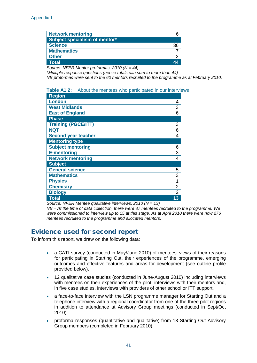| <b>Network mentoring</b>      |  |
|-------------------------------|--|
| Subject specialism of mentor* |  |
| <b>Science</b>                |  |
| <b>Mathematics</b>            |  |
| <b>Other</b>                  |  |
| <b>Total</b>                  |  |

*Source: NFER Mentor proformas, 2010 (N = 44)*

*\*Multiple response questions (hence totals can sum to more than 44)*

*NB proformas were sent to the 60 mentors recruited to the programme as at February 2010.* 

#### **Table A1.2:** About the mentees who participated in our interviews

| Region                     |                |
|----------------------------|----------------|
| <b>London</b>              | 4              |
| <b>West Midlands</b>       | 3              |
| <b>East of England</b>     | 6              |
| <b>Phase</b>               |                |
| <b>Training (PGCE/ITT)</b> | 3              |
| <b>NQT</b>                 | 6              |
| <b>Second year teacher</b> | 4              |
| <b>Mentoring type</b>      |                |
| <b>Subject mentoring</b>   | 6              |
| <b>E-mentoring</b>         | 3              |
| <b>Network mentoring</b>   | 4              |
| <b>Subject</b>             |                |
| <b>General science</b>     | 5              |
| <b>Mathematics</b>         | 3              |
| <b>Physics</b>             | 1              |
| <b>Chemistry</b>           | $\overline{c}$ |
| <b>Biology</b>             | $\overline{2}$ |
| <b>Total</b>               | 13             |

*Source: NFER Mentee qualitative interviews, 2010 (N = 13)*

*NB – At the time of data collection, there were 87 mentees recruited to the programme. We were commissioned to interview up to 15 at this stage. As at April 2010 there were now 276 mentees recruited to the programme and allocated mentors.* 

## Evidence used for second report

To inform this report, we drew on the following data:

- a CATI survey (conducted in May/June 2010) of mentees' views of their reasons for participating in Starting Out, their experiences of the programme, emerging outcomes and effective features and areas for development (see outline profile provided below).
- 12 qualitative case studies (conducted in June-August 2010) including interviews with mentees on their experiences of the pilot, interviews with their mentors and, in five case studies, interviews with providers of other school or ITT support.
- a face-to-face interview with the LSN programme manager for Starting Out and a telephone interview with a regional coordinator from one of the three pilot regions in addition to attendance at Advisory Group meetings (conducted in Sept/Oct 2010)
- proforma responses (quantitative and qualitative) from 13 Starting Out Advisory Group members (completed in February 2010).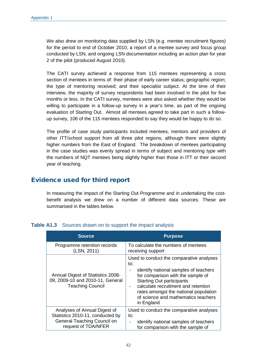We also drew on monitoring data supplied by LSN (e.g. mentee recruitment figures) for the period to end of October 2010, a report of a mentee survey and focus group conducted by LSN, and ongoing LSN documentation including an action plan for year 2 of the pilot (produced August 2010).

The CATI survey achieved a response from 115 mentees representing a cross section of mentees in terms of: their phase of early career status; geographic region; the type of mentoring received; and their specialist subject. At the time of their interview, the majority of survey respondents had been involved in the pilot for five months or less. In the CATI survey, mentees were also asked whether they would be willing to participate in a follow-up survey in a year's time, as part of the ongoing evaluation of Starting Out. Almost all mentees agreed to take part in such a followup survey, 106 of the 115 mentees responded to say they would be happy to do so.

The profile of case study participants included mentees, mentors and providers of other ITT/school support from all three pilot regions, although there were slightly higher numbers from the East of England. The breakdown of mentees participating in the case studies was evenly spread in terms of subject and mentoring type with the numbers of NQT mentees being slightly higher than those in ITT or their second year of teaching.

## Evidence used for third report

In measuring the impact of the Starting Out Programme and in undertaking the costbenefit analysis we drew on a number of different data sources. These are summarised in the tables below

| <b>Source</b>                                                                                    | <b>Purpose</b>                                                                                                                                                                                                                                                                                         |
|--------------------------------------------------------------------------------------------------|--------------------------------------------------------------------------------------------------------------------------------------------------------------------------------------------------------------------------------------------------------------------------------------------------------|
| Programme retention records                                                                      | To calculate the numbers of mentees                                                                                                                                                                                                                                                                    |
| (LSN, 2011)                                                                                      | receiving support                                                                                                                                                                                                                                                                                      |
| Annual Digest of Statistics 2008-<br>09, 2009-10 and 2010-11, General<br><b>Teaching Council</b> | Used to conduct the comparative analyses<br>to:<br>identify national samples of teachers<br>for comparison with the sample of<br><b>Starting Out participants</b><br>calculate recruitment and retention<br>rates amongst the national population<br>of science and mathematics teachers<br>in England |
| Analyses of Annual Digest of                                                                     | Used to conduct the comparative analyses                                                                                                                                                                                                                                                               |
| Statistics 2010-11, conducted by                                                                 | to:                                                                                                                                                                                                                                                                                                    |
| General Teaching Council on                                                                      | identify national samples of teachers                                                                                                                                                                                                                                                                  |
| request of TDA/NFER                                                                              | for comparison with the sample of                                                                                                                                                                                                                                                                      |

#### **Table A1.3** Sources drawn on to support the impact analysis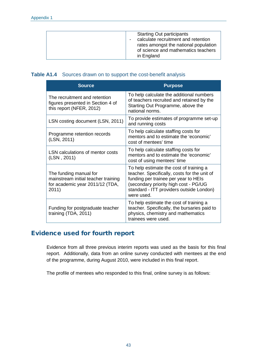|  | <b>Starting Out participants</b><br>calculate recruitment and retention<br>rates amongst the national population<br>of science and mathematics teachers<br>in England |
|--|-----------------------------------------------------------------------------------------------------------------------------------------------------------------------|
|--|-----------------------------------------------------------------------------------------------------------------------------------------------------------------------|

### **Table A1.4** Sources drawn on to support the cost-benefit analysis

| <b>Source</b>                                                                                             | <b>Purpose</b>                                                                                                                                                                                                                     |
|-----------------------------------------------------------------------------------------------------------|------------------------------------------------------------------------------------------------------------------------------------------------------------------------------------------------------------------------------------|
| The recruitment and retention<br>figures presented in Section 4 of<br>this report (NFER, 2012)            | To help calculate the additional numbers<br>of teachers recruited and retained by the<br>Starting Out Programme, above the<br>national norms.                                                                                      |
| LSN costing document (LSN, 2011)                                                                          | To provide estimates of programme set-up<br>and running costs                                                                                                                                                                      |
| Programme retention records<br>(LSN, 2011)                                                                | To help calculate staffing costs for<br>mentors and to estimate the 'economic'<br>cost of mentees' time                                                                                                                            |
| LSN calculations of mentor costs<br>(LSN, 2011)                                                           | To help calculate staffing costs for<br>mentors and to estimate the 'economic'<br>cost of using mentees' time                                                                                                                      |
| The funding manual for<br>mainstream initial teacher training<br>for academic year 2011/12 (TDA,<br>2011) | To help estimate the cost of training a<br>teacher. Specifically, costs for the unit of<br>funding per trainee per year to HEIs<br>(secondary priority high cost - PG/UG<br>standard - ITT providers outside London)<br>were used. |
| Funding for postgraduate teacher<br>training (TDA, 2011)                                                  | To help estimate the cost of training a<br>teacher. Specifically, the bursaries paid to<br>physics, chemistry and mathematics<br>trainees were used.                                                                               |

## Evidence used for fourth report

Evidence from all three previous interim reports was used as the basis for this final report. Additionally, data from an online survey conducted with mentees at the end of the programme, during August 2010, were included in this final report.

The profile of mentees who responded to this final, online survey is as follows: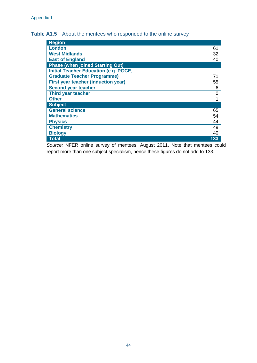| <b>Region</b>                                |                |
|----------------------------------------------|----------------|
| London                                       | 61             |
| <b>West Midlands</b>                         | 32             |
| <b>East of England</b>                       | 40             |
| <b>Phase (when joined Starting Out)</b>      |                |
| <b>Initial Teacher Education (e.g. PGCE,</b> |                |
| <b>Graduate Teacher Programme)</b>           | 71             |
| <b>First year teacher (induction year)</b>   | 55             |
| <b>Second year teacher</b>                   | 6              |
| Third year teacher                           | $\overline{0}$ |
| <b>Other</b>                                 | 1              |
| <b>Subject</b>                               |                |
| <b>General science</b>                       | 65             |
| <b>Mathematics</b>                           | 54             |
| <b>Physics</b>                               | 44             |
| <b>Chemistry</b>                             | 49             |
| <b>Biology</b>                               | 40             |
| <b>Total</b>                                 | 133            |

*Source:* NFER online survey of mentees, August 2011. Note that mentees could report more than one subject specialism, hence these figures do not add to 133.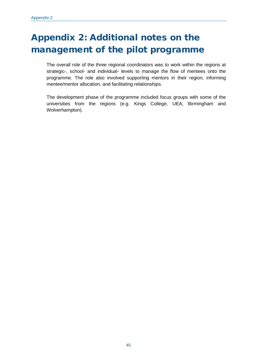# Appendix 2: Additional notes on the management of the pilot programme

The overall role of the three regional coordinators was to work within the regions at strategic-, school- and individual- levels to manage the flow of mentees onto the programme. The role also involved supporting mentors in their region, informing mentee/mentor allocation, and facilitating relationships.

The development phase of the programme included focus groups with some of the universities from the regions (e.g. Kings College, UEA, Birmingham and Wolverhampton).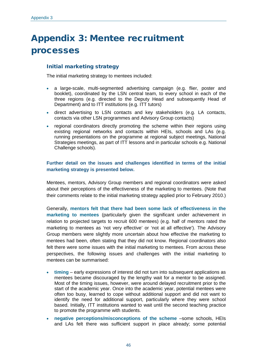## Appendix 3: Mentee recruitment processes

### Initial marketing strategy

The initial marketing strategy to mentees included:

- a large-scale, multi-segmented advertising campaign (e.g. flier, poster and booklet), coordinated by the LSN central team, to every school in each of the three regions (e.g. directed to the Deputy Head and subsequently Head of Department) and to ITT institutions (e.g. ITT tutors)
- direct advertising to LSN contacts and key stakeholders (e.g. LA contacts, contacts via other LSN programmes and Advisory Group contacts)
- regional coordinators directly promoting the scheme within their regions using existing regional networks and contacts within HEIs, schools and LAs (e.g. running presentations on the programme at regional subject meetings, National Strategies meetings, as part of ITT lessons and in particular schools e.g. National Challenge schools).

#### **Further detail on the issues and challenges identified in terms of the initial marketing strategy is presented below.**

Mentees, mentors, Advisory Group members and regional coordinators were asked about their perceptions of the effectiveness of the marketing to mentees. (Note that their comments relate to the initial marketing strategy applied prior to February 2010.)

Generally, **mentors felt that there had been some lack of effectiveness in the marketing to mentees** (particularly given the significant under achievement in relation to projected targets to recruit 600 mentees) (e.g. half of mentors rated the marketing to mentees as 'not very effective' or 'not at all effective'). The Advisory Group members were slightly more uncertain about how effective the marketing to mentees had been, often stating that they did not know. Regional coordinators also felt there were some issues with the initial marketing to mentees. From across these perspectives, the following issues and challenges with the initial marketing to mentees can be summarised:

- **timing** early expressions of interest did not turn into subsequent applications as mentees became discouraged by the lengthy wait for a mentor to be assigned. Most of the timing issues, however, were around delayed recruitment prior to the start of the academic year. Once into the academic year, potential mentees were often too busy, learned to cope without additional support and did not want to identify the need for additional support, particularly where they were school based. Initially, ITT institutions wanted to wait until the second teaching practice to promote the programme with students.
- **negative perceptions/misconceptions of the scheme** –some schools, HEIs and LAs felt there was sufficient support in place already; some potential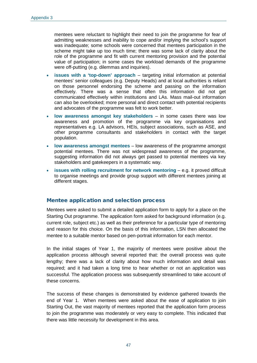mentees were reluctant to highlight their need to join the programme for fear of admitting weaknesses and inability to cope and/or implying the school's support was inadequate; some schools were concerned that mentees participation in the scheme might take up too much time; there was some lack of clarity about the role of the programme and fit with current mentoring provision and the potential value of participation; in some cases the workload demands of the programme were off-putting (e.g. dilemmas and inquiries).

- **issues with a 'top-down' approach** targeting initial information at potential mentees' senior colleagues (e.g. Deputy Heads) and at local authorities is reliant on those personnel endorsing the scheme and passing on the information effectively. There was a sense that often this information did not get communicated effectively within institutions and LAs. Mass mail-out information can also be overlooked; more personal and direct contact with potential recipients and advocates of the programme was felt to work better.
- **low awareness amongst key stakeholders** in some cases there was low awareness and promotion of the programme via key organisations and representatives e.g. LA advisors, HEIs, subject associations, such as ASE, and other programme consultants and stakeholders in contact with the target population.
- **low awareness amongst mentees**  low awareness of the programme amongst potential mentees. There was not widespread awareness of the programme, suggesting information did not always get passed to potential mentees via key stakeholders and gatekeepers in a systematic way.
- **issues with rolling recruitment for network mentoring e.g. it proved difficult** to organise meetings and provide group support with different mentees joining at different stages.

#### Mentee application and selection process

Mentees were asked to submit a detailed application form to apply for a place on the Starting Out programme. The application form asked for background information (e.g. current role, subject etc.) as well as their preference for a particular type of mentoring and reason for this choice. On the basis of this information, LSN then allocated the mentee to a suitable mentor based on pen-portrait information for each mentor.

In the initial stages of Year 1, the majority of mentees were positive about the application process although several reported that: the overall process was quite lengthy; there was a lack of clarity about how much information and detail was required; and it had taken a long time to hear whether or not an application was successful. The application process was subsequently streamlined to take account of these concerns.

The success of these changes is demonstrated by evidence gathered towards the end of Year 1. When mentees were asked about the ease of application to join Starting Out, the vast majority of mentees reported that the application form process to join the programme was moderately or very easy to complete. This indicated that there was little necessity for development in this area.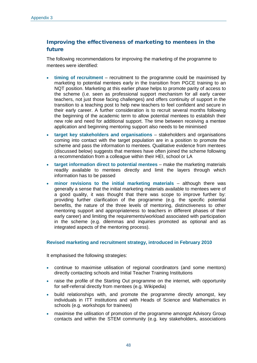## Improving the effectiveness of marketing to mentees in the future

The following recommendations for improving the marketing of the programme to mentees were identified:

- **timing of recruitment**  recruitment to the programme could be maximised by marketing to potential mentees early in the transition from PGCE training to an NQT position. Marketing at this earlier phase helps to promote parity of access to the scheme (i.e. seen as professional support mechanism for all early career teachers, not just those facing challenges) and offers continuity of support in the transition to a teaching post to help new teachers to feel confident and secure in their early career. A further consideration is to recruit several months following the beginning of the academic term to allow potential mentees to establish their new role and need for additional support. The time between receiving a mentee application and beginning mentoring support also needs to be minimised
- **target key stakeholders and organisations** stakeholders and organisations coming into contact with the target population are in a position to promote the scheme and pass the information to mentees. Qualitative evidence from mentees (discussed below) suggests that mentees have often joined the scheme following a recommendation from a colleague within their HEI, school or LA
- **target information direct to potential mentees** make the marketing materials readily available to mentees directly and limit the layers through which information has to be passed
- **minor revisions to the initial marketing materials**  although there was generally a sense that the initial marketing materials available to mentees were of a good quality, it was thought that there was scope to improve further by: providing further clarification of the programme (e.g. the specific potential benefits, the nature of the three levels of mentoring, distinctiveness to other mentoring support and appropriateness to teachers in different phases of their early career) and limiting the requirements/workload associated with participation in the scheme (e.g. dilemmas and inquiries promoted as optional and as integrated aspects of the mentoring process).

#### **Revised marketing and recruitment strategy, introduced in February 2010**

It emphasised the following strategies:

- continue to maximise utilisation of regional coordinators (and some mentors) directly contacting schools and Initial Teacher Training Institutions
- raise the profile of the Starting Out programme on the internet, with opportunity for self-referral directly from mentees (e.g. Wikipedia)
- build relationships with, and promote the programme directly amongst, key individuals in ITT institutions and with Heads of Science and Mathematics in schools (e.g. workshops for trainees)
- maximise the utilisation of promotion of the programme amongst Advisory Group contacts and within the STEM community (e.g. key stakeholders, associations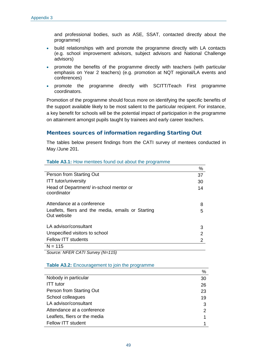and professional bodies, such as ASE, SSAT, contacted directly about the programme)

- build relationships with and promote the programme directly with LA contacts (e.g. school improvement advisors, subject advisors and National Challenge advisors)
- promote the benefits of the programme directly with teachers (with particular emphasis on Year 2 teachers) (e.g. promotion at NQT regional/LA events and conferences)
- promote the programme directly with SCITT/Teach First programme coordinators.

Promotion of the programme should focus more on identifying the specific benefits of the support available likely to be most salient to the particular recipient. For instance, a key benefit for schools will be the potential impact of participation in the programme on attainment amongst pupils taught by trainees and early career teachers.

#### Mentees sources of information regarding Starting Out

The tables below present findings from the CATI survey of mentees conducted in May /June 201.

|                                                                   | %  |
|-------------------------------------------------------------------|----|
| Person from Starting Out                                          | 37 |
| <b>ITT</b> tutor/university                                       | 30 |
| Head of Department/ in-school mentor or<br>coordinator            | 14 |
| Attendance at a conference                                        | 8  |
| Leaflets, fliers and the media, emails or Starting<br>Out website | 5  |
| LA advisor/consultant                                             | 3  |
| Unspecified visitors to school                                    | 2  |
| <b>Fellow ITT students</b>                                        | 2  |
| $N = 115$                                                         |    |

#### **Table A3.1:** How mentees found out about the programme

*Source: NFER CATI Survey (N=115)*

**Table A3.2:** Encouragement to join the programme

|                               | %           |
|-------------------------------|-------------|
| Nobody in particular          | 30          |
| <b>ITT</b> tutor              | 26          |
| Person from Starting Out      | 23          |
| School colleagues             | 19          |
| LA advisor/consultant         | 3           |
| Attendance at a conference    | 2           |
| Leaflets, fliers or the media | $\mathbf 1$ |
| Fellow ITT student            |             |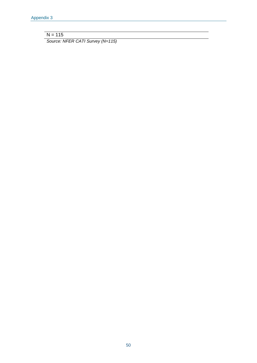$N = 115$ 

*Source: NFER CATI Survey (N=115)*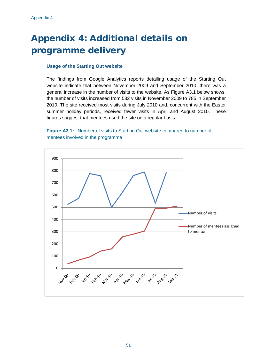# Appendix 4: Additional details on programme delivery

#### **Usage of the Starting Out website**

The findings from Google Analytics reports detailing usage of the Starting Out website indicate that between November 2009 and September 2010, there was a general increase in the number of visits to the website. As Figure A3.1 below shows, the number of visits increased from 532 visits in November 2009 to 785 in September 2010. The site received most visits during July 2010 and, concurrent with the Easter summer holiday periods, received fewer visits in April and August 2010. These figures suggest that mentees used the site on a regular basis.

#### **Figure A3.1:** Number of visits to Starting Out website compared to number of mentees involved in the programme

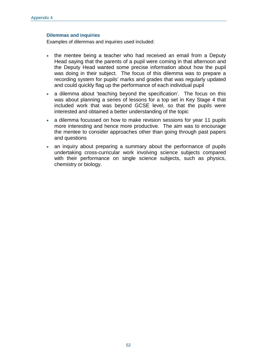#### **Dilemmas and inquiries**

Examples of dilemmas and inquiries used included:

- the mentee being a teacher who had received an email from a Deputy Head saying that the parents of a pupil were coming in that afternoon and the Deputy Head wanted some precise information about how the pupil was doing in their subject. The focus of this dilemma was to prepare a recording system for pupils' marks and grades that was regularly updated and could quickly flag up the performance of each individual pupil
- a dilemma about 'teaching beyond the specification'. The focus on this was about planning a series of lessons for a top set in Key Stage 4 that included work that was beyond GCSE level, so that the pupils were interested and obtained a better understanding of the topic
- a dilemma focussed on how to make revision sessions for year 11 pupils more interesting and hence more productive. The aim was to encourage the mentee to consider approaches other than going through past papers and questions
- an inquiry about preparing a summary about the performance of pupils undertaking cross-curricular work involving science subjects compared with their performance on single science subjects, such as physics, chemistry or biology.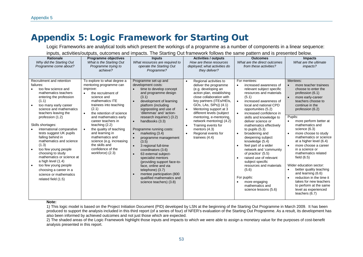## Appendix 5: Logic Framework for Starting Out

Logic Frameworks are analytical tools which present the workings of a programme as a number of components in a linear sequence:

| <b>Rationale</b><br>Why did the Starting Out<br>Programme come about?                                                                                                                                                                                                                                                                                                                                                                                                                                                                                                                        | Programme objectives<br>What is the Starting Out<br>Programme trying to<br>achieve?                                                                                                                                                                                                                                                                                                                                                            | <b>Inputs</b><br>What resources are required to<br>operate the Starting Out<br>Programme?                                                                                                                                                                                                                                                                                                                                                                                                                                                                                                                                 | <b>Activities / outputs</b><br>How are these resources<br>deployed; what activities do<br>they deliver?                                                                                                                                                                                                                                                                                               | <b>Outcomes</b><br>What are the direct outcomes<br>from these activities?                                                                                                                                                                                                                                                                                                                                                                                                                                                                                                                                                                             | <b>Impacts</b><br>What are the ultimate<br>impacts?                                                                                                                                                                                                                                                                                                                                                                                                                                                                                                                                                           |
|----------------------------------------------------------------------------------------------------------------------------------------------------------------------------------------------------------------------------------------------------------------------------------------------------------------------------------------------------------------------------------------------------------------------------------------------------------------------------------------------------------------------------------------------------------------------------------------------|------------------------------------------------------------------------------------------------------------------------------------------------------------------------------------------------------------------------------------------------------------------------------------------------------------------------------------------------------------------------------------------------------------------------------------------------|---------------------------------------------------------------------------------------------------------------------------------------------------------------------------------------------------------------------------------------------------------------------------------------------------------------------------------------------------------------------------------------------------------------------------------------------------------------------------------------------------------------------------------------------------------------------------------------------------------------------------|-------------------------------------------------------------------------------------------------------------------------------------------------------------------------------------------------------------------------------------------------------------------------------------------------------------------------------------------------------------------------------------------------------|-------------------------------------------------------------------------------------------------------------------------------------------------------------------------------------------------------------------------------------------------------------------------------------------------------------------------------------------------------------------------------------------------------------------------------------------------------------------------------------------------------------------------------------------------------------------------------------------------------------------------------------------------------|---------------------------------------------------------------------------------------------------------------------------------------------------------------------------------------------------------------------------------------------------------------------------------------------------------------------------------------------------------------------------------------------------------------------------------------------------------------------------------------------------------------------------------------------------------------------------------------------------------------|
| Recruitment and retention<br>failures:<br>too few science and<br>mathematics teachers<br>entering the profession<br>(1.1)<br>too many early career<br>$\bullet$<br>science and mathematics<br>teachers leaving the<br>profession (1.2)<br>Skills shortages:<br>international comparative<br>tests suggest UK pupils<br>falling behind in<br>mathematics and science<br>(1.3)<br>too few young people<br>choosing to study<br>mathematics or science at<br>a high level (1.4)<br>too few young people<br>$\bullet$<br>choosing a career in a<br>science or mathematics<br>related field (1.5) | To explore to what degree a<br>mentoring programme can<br>improve:<br>the recruitment of<br>$\bullet$<br>science and<br>mathematics ITE<br>trainees into teaching<br>(2.1)<br>the retention of science<br>$\bullet$<br>and mathematics early<br>career teachers in<br>teaching $(2.2)$<br>the quality of teaching<br>and learning in<br>mathematics and<br>science (e.g. increasing<br>the skills and<br>confidence of the<br>workforce) (2.3) | Programme set-up and<br>development costs:<br>time to develop concept<br>and programme design<br>(3.1)<br>development of learning<br>platform (including<br>signposting and use of<br>'dilemmas' and 'action-<br>research inquiries') (3.2)<br>handbooks (3.3)<br>Programme running costs:<br>marketing $(3.4)$<br>programme management<br>(3.5)<br>3 regional full-time<br>coordinators (3.6)<br>63 external subject-<br>$\bullet$<br>specialist mentors<br>(providing support face-to-<br>face, online and via<br>telephone) (3.7)<br>mentee participation (800<br>qualified mathematics and<br>science teachers) (3.8) | Regional activities to<br>deliver the programme<br>(e.g. developing an<br>action plan, establishing<br>close collaboration with<br>key partners (ITEs/HEIs,<br>GOs, LAs, SIPs)) (4.1)<br>Mentoring support at 3<br>different levels (subject<br>mentoring, e-mentoring,<br>network mentoring) (4.2)<br>Training events for<br>$\bullet$<br>mentors $(4.3)$<br>Regional events for<br>trainees $(4.4)$ | For mentees:<br>increased awareness of<br>$\bullet$<br>relevant subject specific<br>resources and materials<br>(5.1)<br>increased awareness of<br>$\bullet$<br>local and national CPD<br>opportunities (5.2)<br>increased confidence in<br>$\bullet$<br>skills and knowledge to<br>deliver science or<br>mathematics effectively<br>to pupils $(5.3)$<br>broadening and<br>deepening subject<br>knowledge (5.4)<br>feel part of a wider<br>network and 'community<br>of practice' (5.5)<br>raised use of relevant<br>subject specific<br>resources and materials<br>(5.6)<br>For pupils:<br>more engaging<br>mathematics and<br>science lessons (5.6) | Mentees:<br>more teacher trainees<br>choose to enter the<br>profession (6.1)<br>more early-career<br>teachers choose to<br>continue in the<br>profession (6.2)<br>Pupils:<br>more perform better at<br>mathematics and<br>science (6.3)<br>more choose to study<br>mathematics or science<br>at a higher level (6.4)<br>more choose a career<br>in a science or<br>mathematics related<br>field $(6.5)$<br>Wider education sector:<br>better quality teaching<br>and learning (6.6)<br>reduction in the time it<br>takes for new teachers<br>to perform at the same<br>level as experienced<br>teachers (6.7) |

inputs, activities/outputs, outcomes and impacts. The Starting Out framework follows the same pattern and is presented below.

#### **Note:**

1) This logic model is based on the Project Initiation Document (PID) developed by LSN at the beginning of the Starting Out Programme in March 2009. It has been produced to support the analysis included in this third report (of a series of four) of NFER's evaluation of the Starting Out Programme. As a result, its development has also been informed by achieved outcomes and not just those which are expected.

2) The shaded areas of the Logic Framework highlight those inputs and impacts to which we were able to assign a monetary value for the purposes of cost-benefit analysis presented in this report.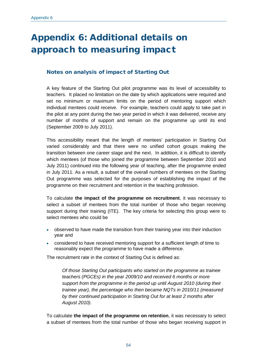# Appendix 6: Additional details on approach to measuring impact

### Notes on analysis of impact of Starting Out

A key feature of the Starting Out pilot programme was its level of accessibility to teachers. It placed no limitation on the date by which applications were required and set no minimum or maximum limits on the period of mentoring support which individual mentees could receive. For example, teachers could apply to take part in the pilot at any point during the two year period in which it was delivered, receive any number of months of support and remain on the programme up until its end (September 2009 to July 2011).

This accessibility meant that the length of mentees' participation in Starting Out varied considerably and that there were no unified cohort groups making the transition between one career stage and the next. In addition, it is difficult to identify which mentees (of those who joined the programme between September 2010 and July 2011) continued into the following year of teaching, after the programme ended in July 2011. As a result, a subset of the overall numbers of mentees on the Starting Out programme was selected for the purposes of establishing the impact of the programme on their recruitment and retention in the teaching profession.

To calculate **the impact of the programme on recruitment**, it was necessary to select a subset of mentees from the total number of those who began receiving support during their training (ITE). The key criteria for selecting this group were to select mentees who could be

- observed to have made the transition from their training year into their induction year and
- considered to have received mentoring support for a sufficient length of time to reasonably expect the programme to have made a difference.

The recruitment rate in the context of Starting Out is defined as:

*Of those Starting Out participants who started on the programme as trainee teachers (PGCEs) in the year 2009/10 and received 6 months or more support from the programme in the period up until August 2010 (during their trainee year), the percentage who then became NQTs in 2010/11 (measured by their continued participation in Starting Out for at least 2 months after August 2010).*

To calculate **the impact of the programme on retention**, it was necessary to select a subset of mentees from the total number of those who began receiving support in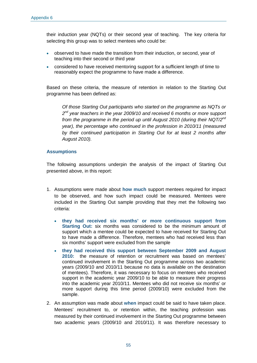their induction year (NQTs) or their second year of teaching. The key criteria for selecting this group was to select mentees who could be:

- observed to have made the transition from their induction, or second, year of teaching into their second or third year
- considered to have received mentoring support for a sufficient length of time to reasonably expect the programme to have made a difference.

Based on these criteria, the measure of retention in relation to the Starting Out programme has been defined as:

*Of those Starting Out participants who started on the programme as NQTs or 2nd year teachers in the year 2009/10 and received 6 months or more support from the programme in the period up until August 2010 (during their NQT/2nd year), the percentage who continued in the profession in 2010/11 (measured by their continued participation in Starting Out for at least 2 months after August 2010).*

#### **Assumptions**

The following assumptions underpin the analysis of the impact of Starting Out presented above, in this report:

- 1. Assumptions were made about **how much** support mentees required for impact to be observed, and how such impact could be measured. Mentees were included in the Starting Out sample providing that they met the following two criteria:
	- **they had received six months' or more continuous support from Starting Out:** six months was considered to be the minimum amount of support which a mentee could be expected to have received for Starting Out to have made a difference. Therefore, mentees who had received less than six months' support were excluded from the sample
	- **they had received this support between September 2009 and August 2010:** the measure of retention or recruitment was based on mentees' continued involvement in the Starting Out programme across two academic years (2009/10 and 2010/11 because no data is available on the destination of mentees). Therefore, it was necessary to focus on mentees who received support in the academic year 2009/10 to be able to measure their progress into the academic year 2010/11. Mentees who did not receive six months' or more support during this time period (2009/10) were excluded from the sample.
- 2. An assumption was made about **when** impact could be said to have taken place. Mentees' recruitment to, or retention within, the teaching profession was measured by their continued involvement in the Starting Out programme between two academic years (2009/10 and 2010/11). It was therefore necessary to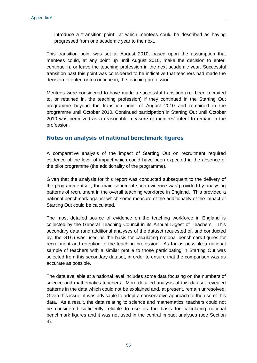introduce a 'transition point', at which mentees could be described as having progressed from one academic year to the next.

This transition point was set at August 2010, based upon the assumption that mentees could, at any point up until August 2010, make the decision to enter, continue in, or leave the teaching profession in the next academic year. Successful transition past this point was considered to be indicative that teachers had made the decision to enter, or to continue in, the teaching profession.

Mentees were considered to have made a successful transition (i.e. been recruited to, or retained in, the teaching profession) if they continued in the Starting Out programme beyond the transition point of August 2010 and remained in the programme until October 2010. Continued participation in Starting Out until October 2010 was perceived as a reasonable measure of mentees' intent to remain in the profession.

#### Notes on analysis of national benchmark figures

A comparative analysis of the impact of Starting Out on recruitment required evidence of the level of impact which could have been expected in the absence of the pilot programme (the additionality of the programme).

Given that the analysis for this report was conducted subsequent to the delivery of the programme itself, the main source of such evidence was provided by analysing patterns of recruitment in the overall teaching workforce in England. This provided a national benchmark against which some measure of the additionality of the impact of Starting Out could be calculated.

The most detailed source of evidence on the teaching workforce in England is collected by the General Teaching Council in its Annual Digest of Teachers. This secondary data (and additional analyses of the dataset requested of, and conducted by, the GTC) was used as the basis for calculating national benchmark figures for recruitment and retention to the teaching profession. As far as possible a national sample of teachers with a similar profile to those participating in Starting Out was selected from this secondary dataset, in order to ensure that the comparison was as accurate as possible.

The data available at a national level includes some data focusing on the numbers of science and mathematics teachers. More detailed analysis of this dataset revealed patterns in the data which could not be explained and, at present, remain unresolved. Given this issue, it was advisable to adopt a conservative approach to the use of this data. As a result, the data relating to science and mathematics' teachers could not be considered sufficiently reliable to use as the basis for calculating national benchmark figures and it was not used in the central impact analyses (see Section 3).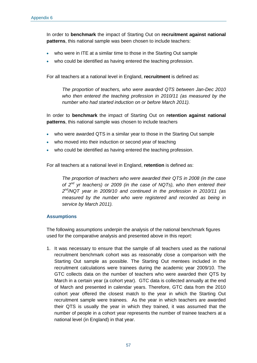In order to **benchmark** the impact of Starting Out on **recruitment against national patterns**, this national sample was been chosen to include teachers:

- who were in ITE at a similar time to those in the Starting Out sample
- who could be identified as having entered the teaching profession.

For all teachers at a national level in England, **recruitment** is defined as:

*The proportion of teachers, who were awarded QTS between Jan-Dec 2010 who then entered the teaching profession in 2010/11 (as measured by the number who had started induction on or before March 2011).*

In order to **benchmark** the impact of Starting Out on **retention against national patterns**, this national sample was chosen to include teachers

- who were awarded QTS in a similar year to those in the Starting Out sample
- who moved into their induction or second year of teaching
- who could be identified as having entered the teaching profession.

For all teachers at a national level in England, **retention** is defined as:

*The proportion of teachers who were awarded their QTS in 2008 (in the case of 2nd yr teachers) or 2009 (in the case of NQTs), who then entered their 2nd /NQT year in 2009/10 and continued in the profession in 2010/11 (as measured by the number who were registered and recorded as being in service by March 2011).*

#### **Assumptions**

The following assumptions underpin the analysis of the national benchmark figures used for the comparative analysis and presented above in this report:

1. It was necessary to ensure that the sample of all teachers used as the national recruitment benchmark cohort was as reasonably close a comparison with the Starting Out sample as possible. The Starting Out mentees included in the recruitment calculations were trainees during the academic year 2009/10. The GTC collects data on the number of teachers who were awarded their QTS by March in a certain year (a cohort year).GTC data is collected annually at the end of March and presented in calendar years. Therefore, GTC data from the 2010 cohort year offered the closest match to the year in which the Starting Out recruitment sample were trainees. As the year in which teachers are awarded their QTS is usually the year in which they trained, it was assumed that the number of people in a cohort year represents the number of trainee teachers at a national level (in England) in that year.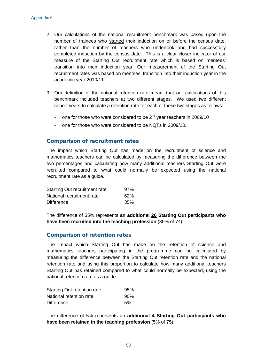- 2. Our calculations of the national recruitment benchmark was based upon the number of trainees who started their induction on or before the census date, rather than the number of teachers who undertook and had successfully completed induction by the census date. This is a clear closer indicator of our measure of the Starting Out recruitment rate which is based on mentees' transition into their induction year. Our measurement of the Starting Out recruitment rates was based on mentees' transition into their induction year in the academic year 2010/11.
- 3. Our definition of the national retention rate meant that our calculations of this benchmark included teachers at two different stages. We used two different cohort years to calculate a retention rate for each of these two stages as follows:
	- one for those who were considered to be  $2^{nd}$  year teachers in 2009/10
	- one for those who were considered to be NQTs in 2009/10.

#### Comparison of recruitment rates

The impact which Starting Out has made on the recruitment of science and mathematics teachers can be calculated by measuring the difference between the two percentages and calculating how many additional teachers Starting Out were recruited compared to what could normally be expected using the national recruitment rate as a guide.

| Starting Out recruitment rate | 97% |
|-------------------------------|-----|
| National recruitment rate     | 62% |
| <b>Difference</b>             | 35% |

The difference of 35% represents **an additional 26 Starting Out participants who have been recruited into the teaching profession** (35% of 74).

#### Comparison of retention rates

The impact which Starting Out has made on the retention of science and mathematics teachers participating in the programme can be calculated by measuring the difference between the Starting Out retention rate and the national retention rate and using this proportion to calculate how many additional teachers Starting Out has retained compared to what could normally be expected, using the national retention rate as a guide.

| Starting Out retention rate | 95% |
|-----------------------------|-----|
| National retention rate     | 90% |
| <b>Difference</b>           | 5%  |

The difference of 5% represents an **additional 4 Starting Out participants who have been retained in the teaching profession** (5% of 75).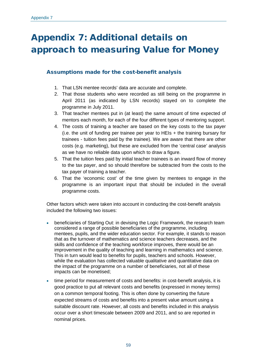# Appendix 7: Additional details on approach to measuring Value for Money

## Assumptions made for the cost-benefit analysis

- 1. That LSN mentee records' data are accurate and complete.
- 2. That those students who were recorded as still being on the programme in April 2011 (as indicated by LSN records) stayed on to complete the programme in July 2011.
- 3. That teacher mentees put in (at least) the same amount of time expected of mentors each month, for each of the four different types of mentoring support.
- 4. The costs of training a teacher are based on the key costs to the tax payer (i.e. the unit of funding per trainee per year to HEIs + the training bursary for trainees - tuition fees paid by the trainee). We are aware that there are other costs (e.g. marketing), but these are excluded from the 'central case' analysis as we have no reliable data upon which to draw a figure.
- 5. That the tuition fees paid by initial teacher trainees is an inward flow of money to the tax payer, and so should therefore be subtracted from the costs to the tax payer of training a teacher.
- 6. That the 'economic cost' of the time given by mentees to engage in the programme is an important input that should be included in the overall programme costs.

Other factors which were taken into account in conducting the cost-benefit analysis included the following two issues:

- beneficiaries of Starting Out: in devising the Logic Framework, the research team considered a range of possible beneficiaries of the programme, including mentees, pupils, and the wider education sector. For example, it stands to reason that as the turnover of mathematics and science teachers decreases, and the skills and confidence of the teaching workforce improves, there would be an improvement in the quality of teaching and learning in mathematics and science. This in turn would lead to benefits for pupils, teachers and schools. However, while the evaluation has collected valuable qualitative and quantitative data on the impact of the programme on a number of beneficiaries, not all of these impacts can be monetised;
- time period for measurement of costs and benefits: in cost-benefit analysis, it is good practice to put all relevant costs and benefits (expressed in money terms) on a common temporal footing. This is often done by converting the future expected streams of costs and benefits into a present value amount using a suitable discount rate. However, all costs and benefits included in this analysis occur over a short timescale between 2009 and 2011, and so are reported in nominal prices.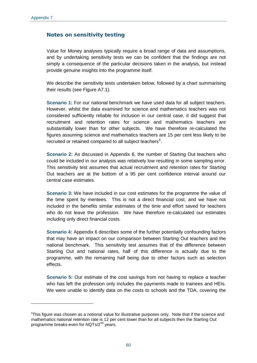<u>.</u>

### Notes on sensitivity testing

Value for Money analyses typically require a broad range of data and assumptions, and by undertaking sensitivity tests we can be confident that the findings are not simply a consequence of the particular decisions taken in the analysis, but instead provide genuine insights into the programme itself.

We describe the sensitivity tests undertaken below, followed by a chart summarising their results (see Figure A7.1).

**Scenario 1:** For our national benchmark we have used data for all subject teachers. However, whilst the data examined for science and mathematics teachers was not considered sufficiently reliable for inclusion in our central case, it did suggest that recruitment and retention rates for science and mathematics teachers are substantially lower than for other subjects. We have therefore re-calculated the figures assuming science and mathematics teachers are 15 per cent less likely to be recruited or retained compared to all subject teachers $<sup>6</sup>$  $<sup>6</sup>$  $<sup>6</sup>$ .</sup>

**Scenario 2:** As discussed in Appendix 6, the number of Starting Out teachers who could be included in our analysis was relatively low resulting in some sampling error. This sensitivity test assumes that actual recruitment and retention rates for Starting Out teachers are at the bottom of a 95 per cent confidence interval around our central case estimates.

**Scenario 3:** We have included in our cost estimates for the programme the value of the time spent by mentees. This is not a direct financial cost, and we have not included in the benefits similar estimates of the time and effort saved for teachers who do not leave the profession. We have therefore re-calculated our estimates including only direct financial costs.

**Scenario 4:** Appendix 6 describes some of the further potentially confounding factors that may have an impact on our comparison between Starting Out teachers and the national benchmark. This sensitivity test assumes that of the difference between Starting Out and national rates, half of this difference is actually due to the programme, with the remaining half being due to other factors such as selection effects.

**Scenario 5:** Our estimate of the cost savings from not having to replace a teacher who has left the profession only includes the payments made to trainees and HEIs. We were unable to identify data on the costs to schools and the TDA, covering the

<span id="page-70-0"></span>*<sup>6</sup>* This figure was chosen as a notional value for illustrative purposes only. Note that if the science and mathematics national retention rate is 12 per cent lower than for all subjects then the Starting Out programme breaks-even for NQTs/2<sup>nd</sup> years.